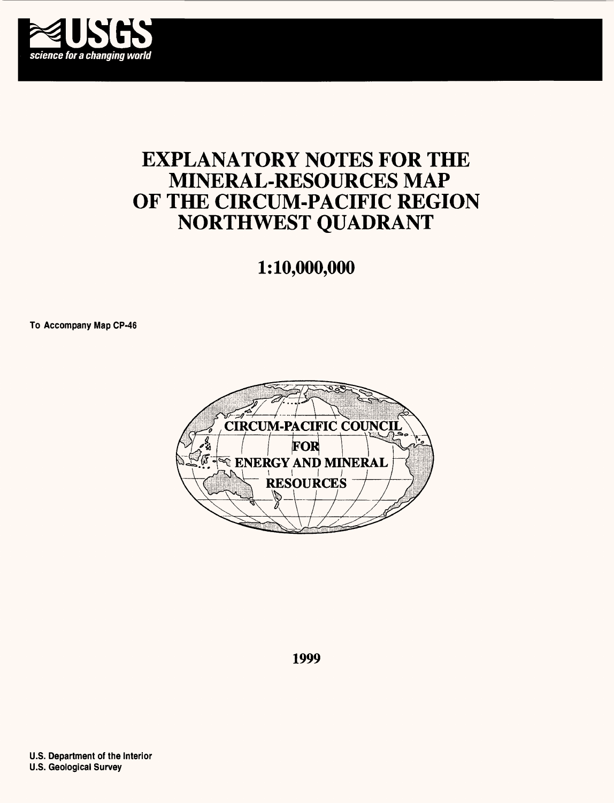

# EXPLANATORY NOTES FOR THE MINERAL-RESOURCES MAP OF THE CIRCUM-PACIFIC REGION **NORTHWEST QUADRANT**

# 1:10,000,000

To Accompany Map CP-46



1999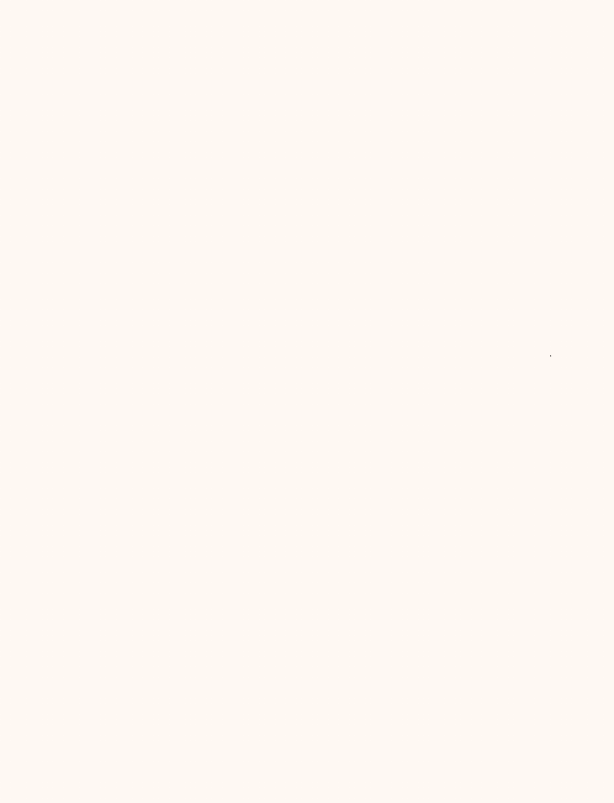$\mathcal{L}^{\mathcal{L}}(\mathcal{L}^{\mathcal{L}}(\mathcal{L}^{\mathcal{L}}(\mathcal{L}^{\mathcal{L}}(\mathcal{L}^{\mathcal{L}}(\mathcal{L}^{\mathcal{L}}(\mathcal{L}^{\mathcal{L}}(\mathcal{L}^{\mathcal{L}}(\mathcal{L}^{\mathcal{L}}(\mathcal{L}^{\mathcal{L}}(\mathcal{L}^{\mathcal{L}}(\mathcal{L}^{\mathcal{L}}(\mathcal{L}^{\mathcal{L}}(\mathcal{L}^{\mathcal{L}}(\mathcal{L}^{\mathcal{L}}(\mathcal{L}^{\mathcal{L}}(\mathcal{L}^{\mathcal{L$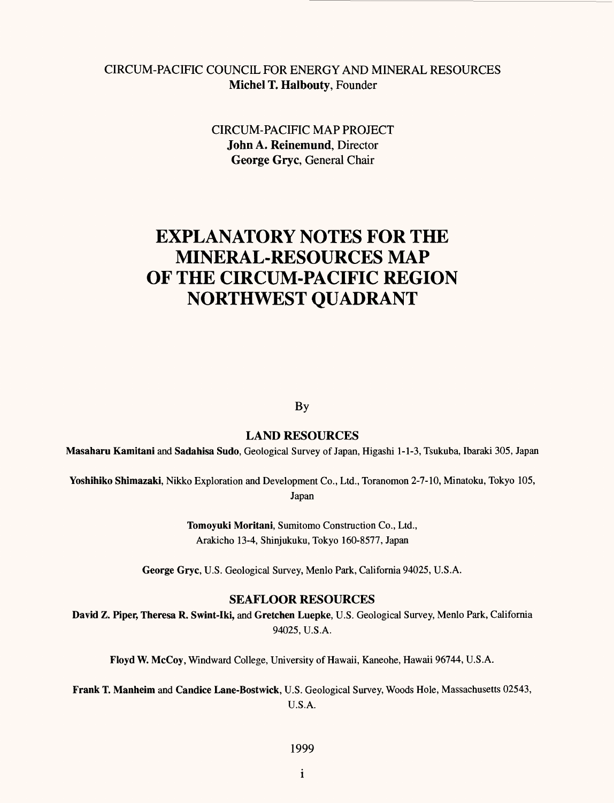# CIRCUM-PACIFIC COUNCIL FOR ENERGY AND MINERAL RESOURCES **Michel T. Halbouty,** Founder

# CIRCUM-PACIFIC MAP PROJECT **John A. Reinemund,** Director **George Gryc,** General Chair

# **EXPLANATORY NOTES FOR THE MINERAL-RESOURCES MAP OF THE CIRCUM-PACIFIC REGION NORTHWEST QUADRANT**

# By

# **LAND RESOURCES**

**Masaharu Kamitani and Sadahisa Sudo,** Geological Survey of Japan, Higashi 1-1-3, Tsukuba, Ibaraki 305, Japan

**Yoshihiko Shimazaki,** Nikko Exploration and Development Co., Ltd., Toranomon 2-7-10, Minatoku, Tokyo 105, Japan

> **Tomoyuki Moritani,** Sumitomo Construction Co., Ltd., Arakicho 13-4, Shinjukuku, Tokyo 160-8577, Japan

**George Gryc,** U.S. Geological Survey, Menlo Park, California 94025, U.S.A.

# **SEAFLOOR RESOURCES**

**David Z. Piper, Theresa R. Swint-Iki, and Gretchen Luepke,** U.S. Geological Survey, Menlo Park, California 94025, U.S.A.

**Floyd W. McCoy,** Windward College, University of Hawaii, Kaneohe, Hawaii 96744, U.S.A.

**Frank T. Manheim and Candice Lane-Bostwick,** U.S. Geological Survey, Woods Hole, Massachusetts 02543, U.S.A.

1999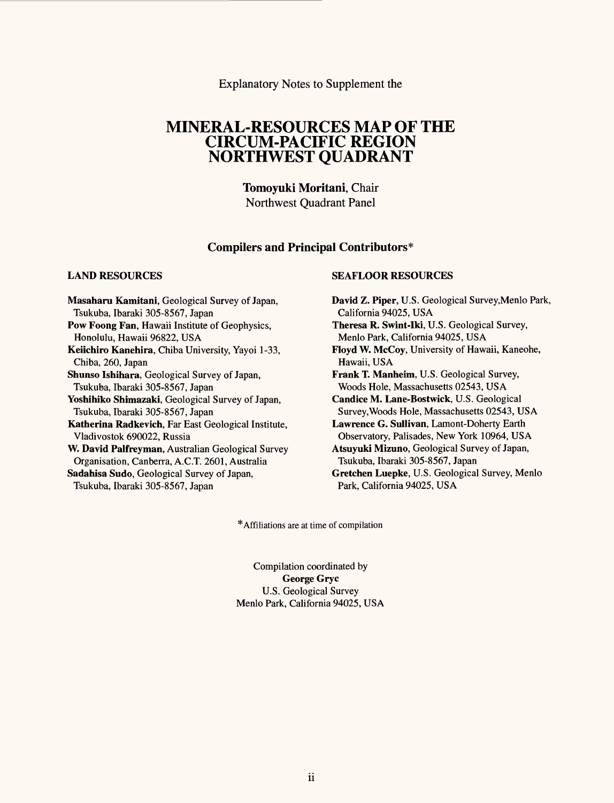Explanatory Notes to Supplement the

# **MINERAL-RESOURCES MAP OF THE CIRCUM-PACIFIC REGION NORTHWEST QUADRANT**

**Tomoyuki Moritani,** Chair Northwest Quadrant Panel

# **Compilers and Principal Contributors\***

#### **LAND RESOURCES**

**Masaharu Kamitani,** Geological Survey of Japan, Tsukuba, Ibaraki 305-8567, Japan Pow Foong Fan, Hawaii Institute of Geophysics, Honolulu, Hawaii 96822, USA **Keiichiro Kanehira,** Chiba University, Yayoi 1-33, Chiba, 260, Japan **Shunso Ishihara,** Geological Survey of Japan, Tsukuba, Ibaraki 305-8567, Japan **Yoshihiko Shimazaki,** Geological Survey of Japan, Tsukuba, Ibaraki 305-8567, Japan **Katherina Radkevich,** Far East Geological Institute, Vladivostok 690022, Russia **W. David Palfreyman,** Australian Geological Survey Organisation, Canberra, A.C.T. 2601, Australia **Sadahisa Sudo,** Geological Survey of Japan,

Tsukuba, Ibaraki 305-8567, Japan

#### **SEAFLOOR RESOURCES**

**David Z. Piper,** U.S. Geological Survey,Menlo Park, California 94025, USA **Theresa R. Swint-Iki,** U.S. Geological Survey, Menlo Park, California 94025, USA **Floyd W. McCoy,** University of Hawaii, Kaneohe, Hawaii, USA **Frank T. Manheim,** U.S. Geological Survey, Woods Hole, Massachusetts 02543, USA **Candice M. Lane-Bostwick,** U.S. Geological Survey,Woods Hole, Massachusetts 02543, USA **Lawrence G. Sullivan,** Lamont-Doherty Earth Observatory, Palisades, New York 10964, USA **Atsuyuki Mizuno,** Geological Survey of Japan, Tsukuba, Ibaraki 305-8567, Japan **Gretchen Luepke,** U.S. Geological Survey, Menlo Park, California 94025, USA

\* Affiliations are at time of compilation

Compilation coordinated by **George Gryc** U.S. Geological Survey Menlo Park, California 94025, USA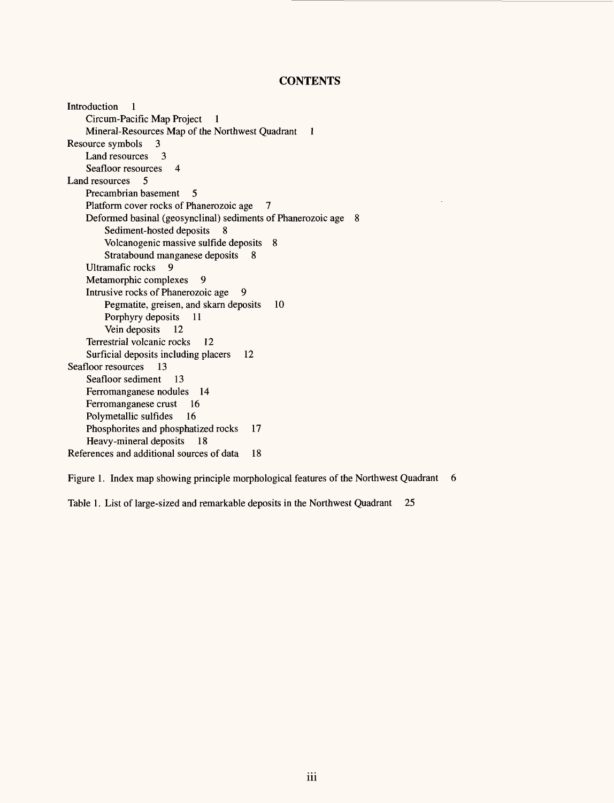# **CONTENTS**

Introduction 1 Circum-Pacific Map Project 1 Mineral-Resources Map of the Northwest Quadrant 1 Resource symbols 3 Land resources 3 Seafloor resources 4 Land resources 5 Precambrian basement 5 Platform cover rocks of Phanerozoic age 7 Deformed basinal (geosynclinal) sediments of Phanerozoic age 8 Sediment-hosted deposits 8 Volcanogenic massive sulfide deposits 8 Stratabound manganese deposits 8 Ultramafic rocks 9 Metamorphic complexes 9 Intrusive rocks of Phanerozoic age 9 Pegmatite, greisen, and skarn deposits 10 Porphyry deposits 11 Vein deposits 12 Terrestrial volcanic rocks 12 Surficial deposits including placers 12 Seafloor resources 13 Seafloor sediment 13 Ferromanganese nodules 14 Ferromanganese crust 16 Polymetallic sulfides 16 Phosphorites and phosphatized rocks 17 Heavy-mineral deposits 18 References and additional sources of data 18

Figure 1. Index map showing principle morphological features of the Northwest Quadrant 6

Table 1. List of large-sized and remarkable deposits in the Northwest Quadrant 25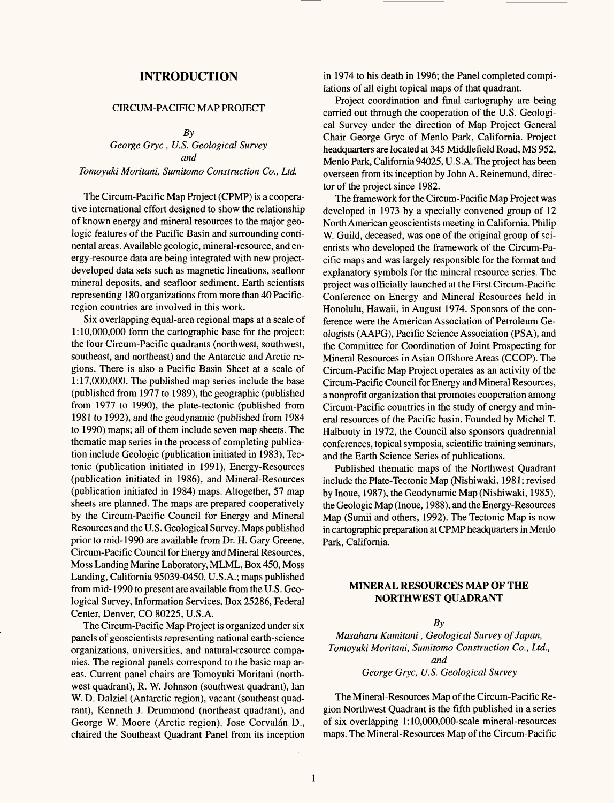# **INTRODUCTION**

# CIRCUM-PACIFIC MAP PROJECT

*By* 

*George Gryc, U.S. Geological Survey and Tomoyuki Moritani, Swnitomo Construction Co., Ltd.*

The Circum-Pacific Map Project (CPMP) is a cooperative international effort designed to show the relationship of known energy and mineral resources to the major geologic features of the Pacific Basin and surrounding continental areas. Available geologic, mineral-resource, and energy-resource data are being integrated with new projectdeveloped data sets such as magnetic lineations, seafloor mineral deposits, and seafloor sediment. Earth scientists representing 180 organizations from more than 40 Pacificregion countries are involved in this work.

Six overlapping equal-area regional maps at a scale of 1:10,000,000 form the cartographic base for the project: the four Circum-Pacific quadrants (northwest, southwest, southeast, and northeast) and the Antarctic and Arctic regions. There is also a Pacific Basin Sheet at a scale of 1:17,000,000. The published map series include the base (published from 1977 to 1989), the geographic (published from 1977 to 1990), the plate-tectonic (published from 1981 to 1992), and the geodynamic (published from 1984 to 1990) maps; all of them include seven map sheets. The thematic map series in the process of completing publication include Geologic (publication initiated in 1983), Tectonic (publication initiated in 1991), Energy-Resources (publication initiated in 1986), and Mineral-Resources (publication initiated in 1984) maps. Altogether, 57 map sheets are planned. The maps are prepared cooperatively by the Circum-Pacific Council for Energy and Mineral Resources and the U.S. Geological Survey. Maps published prior to mid-1990 are available from Dr. H. Gary Greene, Circum-Pacific Council for Energy and Mineral Resources, Moss Landing Marine Laboratory, MLML, Box 450, Moss Landing, California 95039-0450, U.S.A.; maps published from mid-1990 to present are available from the U.S. Geological Survey, Information Services, Box 25286, Federal Center, Denver, CO 80225, U.S.A.

The Circum-Pacific Map Project is organized under six panels of geoscientists representing national earth-science organizations, universities, and natural-resource companies. The regional panels correspond to the basic map areas. Current panel chairs are Tomoyuki Moritani (northwest quadrant), R. W. Johnson (southwest quadrant), lan W. D. Dalziel (Antarctic region), vacant (southeast quadrant), Kenneth J. Drummond (northeast quadrant), and George W. Moore (Arctic region). Jose Corvalán D., chaired the Southeast Quadrant Panel from its inception in 1974 to his death in 1996; the Panel completed compilations of all eight topical maps of that quadrant.

Project coordination and final cartography are being carried out through the cooperation of the U.S. Geological Survey under the direction of Map Project General Chair George Gryc of Menlo Park, California. Project headquarters are located at 345 Middlefield Road, MS 952, Menlo Park, California 94025, U.S.A. The project has been overseen from its inception by John A. Reinemund, director of the project since 1982.

The framework for the Circum-Pacific Map Project was developed in 1973 by a specially convened group of 12 North American geoscientists meeting in California. Philip W. Guild, deceased, was one of the original group of scientists who developed the framework of the Circum-Pacific maps and was largely responsible for the format and explanatory symbols for the mineral resource series. The project was officially launched at the First Circum-Pacific Conference on Energy and Mineral Resources held in Honolulu, Hawaii, in August 1974. Sponsors of the conference were the American Association of Petroleum Geologists (AAPG), Pacific Science Association (PSA), and the Committee for Coordination of Joint Prospecting for Mineral Resources in Asian Offshore Areas (CCOP). The Circum-Pacific Map Project operates as an activity of the Circum-Pacific Council for Energy and Mineral Resources, a nonprofit organization that promotes cooperation among Circum-Pacific countries in the study of energy and mineral resources of the Pacific basin. Founded by Michel T. Halbouty in 1972, the Council also sponsors quadrennial conferences, topical symposia, scientific training seminars, and the Earth Science Series of publications.

Published thematic maps of the Northwest Quadrant include the Plate-Tectonic Map (Nishiwaki, 1981; revised by Inoue, 1987), the Geodynamic Map (Nishiwaki, 1985), the Geologic Map (Inoue, 1988), and the Energy-Resources Map (Sumii and others, 1992). The Tectonic Map is now in cartographic preparation at CPMP headquarters in Menlo Park, California.

# **MINERAL RESOURCES MAP OF THE NORTHWEST QUADRANT**

*By*

*Masaharu Kamitani, Geological Survey of Japan, Tomoyuki Moritani, Sumitomo Construction Co., Ltd., and George Gryc, U.S. Geological Survey*

The Mineral-Resources Map of the Circum-Pacific Region Northwest Quadrant is the fifth published in a series of six overlapping l:10,000,000-scale mineral-resources maps. The Mineral-Resources Map of the Circum-Pacific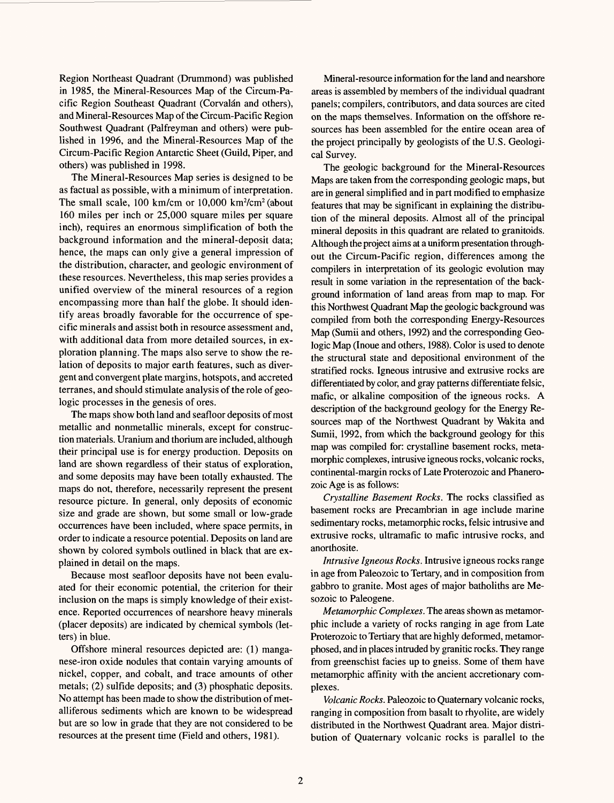Region Northeast Quadrant (Drummond) was published in 1985, the Mineral-Resources Map of the Circum-Pacific Region Southeast Quadrant (Corvalán and others), and Mineral-Resources Map of the Circum-Pacific Region Southwest Quadrant (Palfreyman and others) were published in 1996, and the Mineral-Resources Map of the Circum-Pacific Region Antarctic Sheet (Guild, Piper, and others) was published in 1998.

The Mineral-Resources Map series is designed to be as factual as possible, with a minimum of interpretation. The small scale, 100 km/cm or  $10,000$  km<sup>2</sup>/cm<sup>2</sup> (about 160 miles per inch or 25,000 square miles per square inch), requires an enormous simplification of both the background information and the mineral-deposit data; hence, the maps can only give a general impression of the distribution, character, and geologic environment of these resources. Nevertheless, this map series provides a unified overview of the mineral resources of a region encompassing more than half the globe. It should identify areas broadly favorable for the occurrence of specific minerals and assist both in resource assessment and, with additional data from more detailed sources, in exploration planning. The maps also serve to show the relation of deposits to major earth features, such as divergent and convergent plate margins, hotspots, and accreted terranes, and should stimulate analysis of the role of geologic processes in the genesis of ores.

The maps show both land and seafloor deposits of most metallic and nonmetallic minerals, except for construction materials. Uranium and thorium are included, although their principal use is for energy production. Deposits on land are shown regardless of their status of exploration, and some deposits may have been totally exhausted. The maps do not, therefore, necessarily represent the present resource picture. In general, only deposits of economic size and grade are shown, but some small or low-grade occurrences have been included, where space permits, in order to indicate a resource potential. Deposits on land are shown by colored symbols outlined in black that are explained in detail on the maps.

Because most seafloor deposits have not been evaluated for their economic potential, the criterion for their inclusion on the maps is simply knowledge of their existence. Reported occurrences of nearshore heavy minerals (placer deposits) are indicated by chemical symbols (letters) in blue.

Offshore mineral resources depicted are: (1) manganese-iron oxide nodules that contain varying amounts of nickel, copper, and cobalt, and trace amounts of other metals; (2) sulfide deposits; and (3) phosphatic deposits. No attempt has been made to show the distribution of metalliferous sediments which are known to be widespread but are so low in grade that they are not considered to be resources at the present time (Field and others, 1981).

Mineral-resource information for the land and nearshore areas is assembled by members of the individual quadrant panels; compilers, contributors, and data sources are cited on the maps themselves. Information on the offshore resources has been assembled for the entire ocean area of the project principally by geologists of the U.S. Geological Survey.

The geologic background for the Mineral-Resources Maps are taken from the corresponding geologic maps, but are in general simplified and in part modified to emphasize features that may be significant in explaining the distribution of the mineral deposits. Almost all of the principal mineral deposits in this quadrant are related to granitoids. Although the project aims at a uniform presentation throughout the Circum-Pacific region, differences among the compilers in interpretation of its geologic evolution may result in some variation in the representation of the background information of land areas from map to map. For this Northwest Quadrant Map the geologic background was compiled from both the corresponding Energy-Resources Map (Sumii and others, 1992) and the corresponding Geologic Map (Inoue and others, 1988). Color is used to denote the structural state and depositional environment of the stratified rocks. Igneous intrusive and extrusive rocks are differentiated by color, and gray patterns differentiate felsic, mafic, or alkaline composition of the igneous rocks. A description of the background geology for the Energy Resources map of the Northwest Quadrant by Wakita and Sumii, 1992, from which the background geology for this map was compiled for: crystalline basement rocks, metamorphic complexes, intrusive igneous rocks, volcanic rocks, continental-margin rocks of Late Proterozoic and Phanerozoic Age is as follows:

*Crystalline Basement Rocks.* The rocks classified as basement rocks are Precambrian in age include marine sedimentary rocks, metamorphic rocks, felsic intrusive and extrusive rocks, ultramafic to mafic intrusive rocks, and anorthosite.

*Intrusive Igneous Rocks.* Intrusive igneous rocks range in age from Paleozoic to Tertary, and in composition from gabbro to granite. Most ages of major batholiths are Mesozoic to Paleogene.

*Metamorphic Complexes.* The areas shown as metamorphic include a variety of rocks ranging in age from Late Proterozoic to Tertiary that are highly deformed, metamorphosed, and in places intruded by granitic rocks. They range from greenschist facies up to gneiss. Some of them have metamorphic affinity with the ancient accretionary complexes.

*Volcanic Rocks.* Paleozoic to Quaternary volcanic rocks, ranging in composition from basalt to rhyolite, are widely distributed in the Northwest Quadrant area. Major distribution of Quaternary volcanic rocks is parallel to the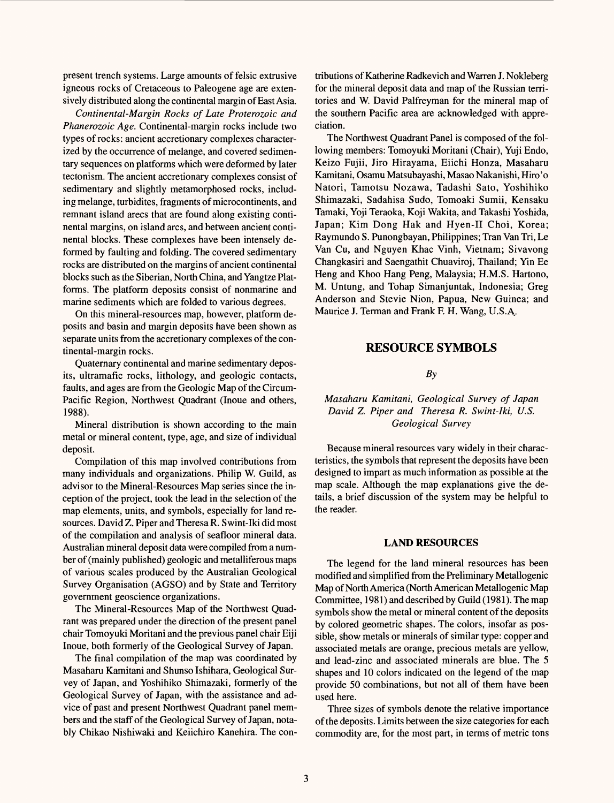present trench systems. Large amounts of felsic extrusive igneous rocks of Cretaceous to Paleogene age are extensively distributed along the continental margin of East Asia.

*Continental-Margin Rocks of Late Proterozoic and Phanerozoic Age.* Continental-margin rocks include two types of rocks: ancient accretionary complexes characterized by the occurrence of melange, and covered sedimentary sequences on platforms which were deformed by later tectonism. The ancient accretionary complexes consist of sedimentary and slightly metamorphosed rocks, including melange, turbidites, fragments of microcontinents, and remnant island arecs that are found along existing continental margins, on island arcs, and between ancient continental blocks. These complexes have been intensely deformed by faulting and folding. The covered sedimentary rocks are distributed on the margins of ancient continental blocks such as the Siberian, North China, and Yangtze Platforms. The platform deposits consist of nonmarine and marine sediments which are folded to various degrees.

On this mineral-resources map, however, platform deposits and basin and margin deposits have been shown as separate units from the accretionary complexes of the continental-margin rocks.

Quaternary continental and marine sedimentary deposits, ultramafic rocks, lithology, and geologic contacts, faults, and ages are from the Geologic Map of the Circum-Pacific Region, Northwest Quadrant (Inoue and others, 1988).

Mineral distribution is shown according to the main metal or mineral content, type, age, and size of individual deposit.

Compilation of this map involved contributions from many individuals and organizations. Philip W. Guild, as advisor to the Mineral-Resources Map series since the inception of the project, took the lead in the selection of the map elements, units, and symbols, especially for land resources. David Z. Piper and Theresa R. Swint-Iki did most of the compilation and analysis of seafloor mineral data. Australian mineral deposit data were compiled from a number of (mainly published) geologic and metalliferous maps of various scales produced by the Australian Geological Survey Organisation (AGSO) and by State and Territory government geoscience organizations.

The Mineral-Resources Map of the Northwest Quadrant was prepared under the direction of the present panel chair Tomoyuki Moritani and the previous panel chair Eiji Inoue, both formerly of the Geological Survey of Japan.

The final compilation of the map was coordinated by Masaharu Kamitani and Shunso Ishihara, Geological Survey of Japan, and Yoshihiko Shimazaki, formerly of the Geological Survey of Japan, with the assistance and advice of past and present Northwest Quadrant panel members and the staff of the Geological Survey of Japan, notably Chikao Nishiwaki and Keiichiro Kanehira. The contributions of Katherine Radkevich and Warren J. Nokleberg for the mineral deposit data and map of the Russian territories and W. David Palfreyman for the mineral map of the southern Pacific area are acknowledged with appreciation.

The Northwest Quadrant Panel is composed of the following members: Tomoyuki Moritani (Chair), Yuji Endo, Keizo Fujii, Jiro Hirayama, Eiichi Honza, Masaharu Kamitani, Osamu Matsubayashi, Masao Nakanishi, Hiro'o Natori, Tamotsu Nozawa, Tadashi Sato, Yoshihiko Shimazaki, Sadahisa Sudo, Tomoaki Sumii, Kensaku Tamaki, Yoji Teraoka, Koji Wakita, and Takashi Yoshida, Japan; Kim Dong Hak and Hyen-II Choi, Korea; Raymundo S. Punongbayan, Philippines; Tran Van Tri, Le Van Cu, and Nguyen Khac Vinh, Vietnam; Sivavong Changkasiri and Saengathit Chuaviroj, Thailand; Yin Ee Heng and Khoo Hang Peng, Malaysia; H.M.S. Hartono, M. Untung, and Tohap Simanjuntak, Indonesia; Greg Anderson and Stevie Nion, Papua, New Guinea; and Maurice J. Terman and Frank F. H. Wang, U.S.A..

## **RESOURCE SYMBOLS**

# *By*

# *Masaharu Kamitani, Geological Survey of Japan David Z. Piper and Theresa R. Swint-Iki, U.S. Geological Survey*

Because mineral resources vary widely in their characteristics, the symbols that represent the deposits have been designed to impart as much information as possible at the map scale. Although the map explanations give the details, a brief discussion of the system may be helpful to the reader.

#### **LAND RESOURCES**

The legend for the land mineral resources has been modified and simplified from the Preliminary Metallogenic Map of North America (North American Metallogenic Map Committee, 1981) and described by Guild (1981). The map symbols show the metal or mineral content of the deposits by colored geometric shapes. The colors, insofar as possible, show metals or minerals of similar type: copper and associated metals are orange, precious metals are yellow, and lead-zinc and associated minerals are blue. The 5 shapes and 10 colors indicated on the legend of the map provide 50 combinations, but not all of them have been used here.

Three sizes of symbols denote the relative importance of the deposits. Limits between the size categories for each commodity are, for the most part, in terms of metric tons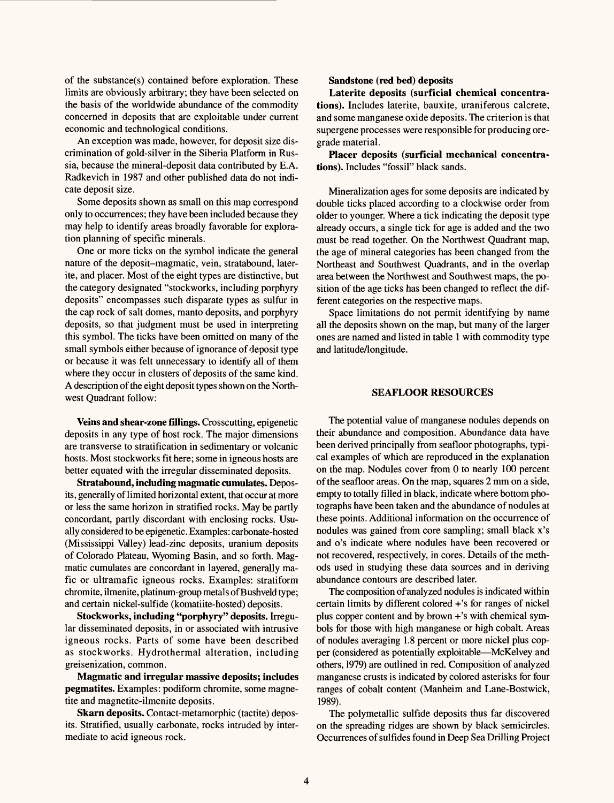of the substance(s) contained before exploration. These limits are obviously arbitrary; they have been selected on the basis of the worldwide abundance of the commodity concerned in deposits that are exploitable under current economic and technological conditions.

An exception was made, however, for deposit size discrimination of gold-silver in the Siberia Platform in Russia, because the mineral-deposit data contributed by E.A. Radkevich in 1987 and other published data do not indicate deposit size.

Some deposits shown as small on this map correspond only to occurrences; they have been included because they may help to identify areas broadly favorable for exploration planning of specific minerals.

One or more ticks on the symbol indicate the general nature of the deposit-magmatic, vein, stratabound, laterite, and placer. Most of the eight types are distinctive, but the category designated "stockworks, including porphyry deposits" encompasses such disparate types as sulfur in the cap rock of salt domes, manto deposits, and porphyry deposits, so that judgment must be used in interpreting this symbol. The ticks have been omitted on many of the small symbols either because of ignorance of deposit type or because it was felt unnecessary to identify all of them where they occur in clusters of deposits of the same kind. A description of the eight deposit types shown on the Northwest Quadrant follow:

**Veins and shear-zone fillings.** Crosscutting, epigenetic deposits in any type of host rock. The major dimensions are transverse to stratification in sedimentary or volcanic hosts. Most stockworks fit here; some in igneous hosts are better equated with the irregular disseminated deposits.

**Stratabound, including magmatic cumulates.** Deposits, generally of limited horizontal extent, that occur at more or less the same horizon in stratified rocks. May be partly concordant, partly discordant with enclosing rocks. Usually considered to be epigenetic. Examples: carbonate-hosted (Mississippi Valley) lead-zinc deposits, uranium deposits of Colorado Plateau, Wyoming Basin, and so forth. Magmatic cumulates are concordant in layered, generally mafic or ultramafic igneous rocks. Examples: stratiform chromite, ilmenite, platinum-group metals of Bushveld type; and certain nickel-sulfide (komatiite-hosted) deposits.

**Stockworks, including "porphyry" deposits.** Irregular disseminated deposits, in or associated with intrusive igneous rocks. Parts of some have been described as stockworks. Hydrothermal alteration, including greisenization, common.

**Magmatic and irregular massive deposits; includes pegmatites.** Examples: podiform chromite, some magnetite and magnetite-ilmenite deposits.

**Skarn deposits.** Contact-metamorphic (tactite) deposits. Stratified, usually carbonate, rocks intruded by intermediate to acid igneous rock.

## **Sandstone (red bed) deposits**

**Laterite deposits (surficial chemical concentrations).** Includes laterite, bauxite, uraniferous calcrete, and some manganese oxide deposits. The criterion is that supergene processes were responsible for producing oregrade material.

**Placer deposits (surficial mechanical concentrations).** Includes "fossil" black sands.

Mineralization ages for some deposits are indicated by double ticks placed according to a clockwise order from older to younger. Where a tick indicating the deposit type already occurs, a single tick for age is added and the two must be read together. On the Northwest Quadrant map, the age of mineral categories has been changed from the Northeast and Southwest Quadrants, and in the overlap area between the Northwest and Southwest maps, the position of the age ticks has been changed to reflect the different categories on the respective maps.

Space limitations do not permit identifying by name all the deposits shown on the map, but many of the larger ones are named and listed in table 1 with commodity type and latitude/longitude.

## **SEAFLOOR RESOURCES**

The potential value of manganese nodules depends on their abundance and composition. Abundance data have been derived principally from seafloor photographs, typical examples of which are reproduced in the explanation on the map. Nodules cover from 0 to nearly 100 percent of the seafloor areas. On the map, squares 2 mm on a side, empty to totally filled in black, indicate where bottom photographs have been taken and the abundance of nodules at these points. Additional information on the occurrence of nodules was gained from core sampling; small black x's and o's indicate where nodules have been recovered or not recovered, respectively, in cores. Details of the methods used in studying these data sources and in deriving abundance contours are described later.

The composition of analyzed nodules is indicated within certain limits by different colored +'s for ranges of nickel plus copper content and by brown +'s with chemical symbols for those with high manganese or high cobalt. Areas of nodules averaging 1.8 percent or more nickel plus copper (considered as potentially exploitable—McKelvey and others, 1979) are outlined in red. Composition of analyzed manganese crusts is indicated by colored asterisks for four ranges of cobalt content (Manheim and Lane-Bostwick, 1989).

The polymetallic sulfide deposits thus far discovered on the spreading ridges are shown by black semicircles. Occurrences of sulfides found in Deep Sea Drilling Project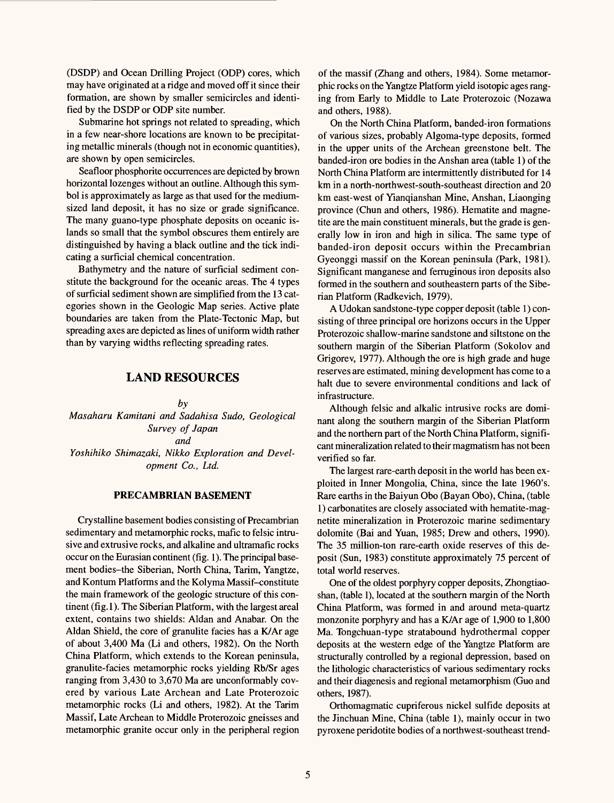(DSDP) and Ocean Drilling Project (OOP) cores, which may have originated at a ridge and moved off it since their formation, are shown by smaller semicircles and identified by the DSDP or OOP site number.

Submarine hot springs not related to spreading, which in a few near-shore locations are known to be precipitating metallic minerals (though not in economic quantities), are shown by open semicircles.

Seafloor phosphorite occurrences are depicted by brown horizontal lozenges without an outline. Although this symbol is approximately as large as that used for the mediumsized land deposit, it has no size or grade significance. The many guano-type phosphate deposits on oceanic islands so small that the symbol obscures them entirely are distinguished by having a black outline and the tick indicating a surficial chemical concentration.

Bathymetry and the nature of surficial sediment constitute the background for the oceanic areas. The 4 types of surficial sediment shown are simplified from the 13 categories shown in the Geologic Map series. Active plate boundaries are taken from the Plate-Tectonic Map, but spreading axes are depicted as lines of uniform width rather than by varying widths reflecting spreading rates.

# **LAND RESOURCES**

*by*

*Masaharu Kamitani and Sadahisa Sudo, Geological Survey of Japan and Yoshihiko Shimazaki, Nikko Exploration and Development Co., Ltd.*

#### **PRECAMBRIAN BASEMENT**

Crystalline basement bodies consisting of Precambrian sedimentary and metamorphic rocks, mafic to felsic intrusive and extrusive rocks, and alkaline and ultramafic rocks occur on the Eurasian continent (fig. 1). The principal basement bodies-the Siberian, North China, Tarim, Yangtze, and Kontum Platforms and the Kolyma Massif-constitute the main framework of the geologic structure of this continent (fig.l). The Siberian Platform, with the largest areal extent, contains two shields: Aldan and Anabar. On the Aldan Shield, the core of granulite facies has a K/Ar age of about 3,400 Ma (Li and others, 1982). On the North China Platform, which extends to the Korean peninsula, granulite-facies metamorphic rocks yielding Rb/Sr ages ranging from 3,430 to 3,670 Ma are unconformably covered by various Late Archean and Late Proterozoic metamorphic rocks (Li and others, 1982). At the Tarim Massif, Late Archean to Middle Proterozoic gneisses and metamorphic granite occur only in the peripheral region of the massif (Zhang and others, 1984). Some metamorphic rocks on the Yangtze Platform yield isotopic ages ranging from Early to Middle to Late Proterozoic (Nozawa and others, 1988).

On the North China Platform, banded-iron formations of various sizes, probably Algoma-type deposits, formed in the upper units of the Archean greenstone belt. The banded-iron ore bodies in the Anshan area (table 1) of the North China Platform are intermittently distributed for 14 km in a north-northwest-south-southeast direction and 20 km east-west of Yianqianshan Mine, Anshan, Liaonging province (Chun and others, 1986). Hematite and magnetite are the main constituent minerals, but the grade is generally low in iron and high in silica. The same type of banded-iron deposit occurs within the Precambrian Gyeonggi massif on the Korean peninsula (Park, 1981). Significant manganese and ferruginous iron deposits also formed in the southern and southeastern parts of the Siberian Platform (Radkevich, 1979).

A Udokan sandstone-type copper deposit (table 1) consisting of three principal ore horizons occurs in the Upper Proterozoic shallow-marine sandstone and siltstone on the southern margin of the Siberian Platform (Sokolov and Grigorev, 1977). Although the ore is high grade and huge reserves are estimated, mining development has come to a halt due to severe environmental conditions and lack of infrastructure.

Although felsic and alkalic intrusive rocks are dominant along the southern margin of the Siberian Platform and the northern part of the North China Platform, significant mineralization related to their magmatism has not been verified so far.

The largest rare-earth deposit in the world has been exploited in Inner Mongolia, China, since the late 1960's. Rare earths in the Baiyun Obo (Bayan Obo), China, (table 1) carbonatites are closely associated with hematite-magnetite mineralization in Proterozoic marine sedimentary dolomite (Bai and Yuan, 1985; Drew and others, 1990). The 35 million-ton rare-earth oxide reserves of this deposit (Sun, 1983) constitute approximately 75 percent of total world reserves.

One of the oldest porphyry copper deposits, Zhongtiaoshan, (table 1), located at the southern margin of the North China Platform, was formed in and around meta-quartz monzonite porphyry and has a K/Ar age of 1,900 to 1,800 Ma. Tongchuan-type stratabound hydrothermal copper deposits at the western edge of the Yangtze Platform are structurally controlled by a regional depression, based on the lithologic characteristics of various sedimentary rocks and their diagenesis and regional metamorphism (Guo and others, 1987).

Orthomagmatic cupriferous nickel sulfide deposits at the Jinchuan Mine, China (table 1), mainly occur in two pyroxene peridotite bodies of a northwest-southeast trend-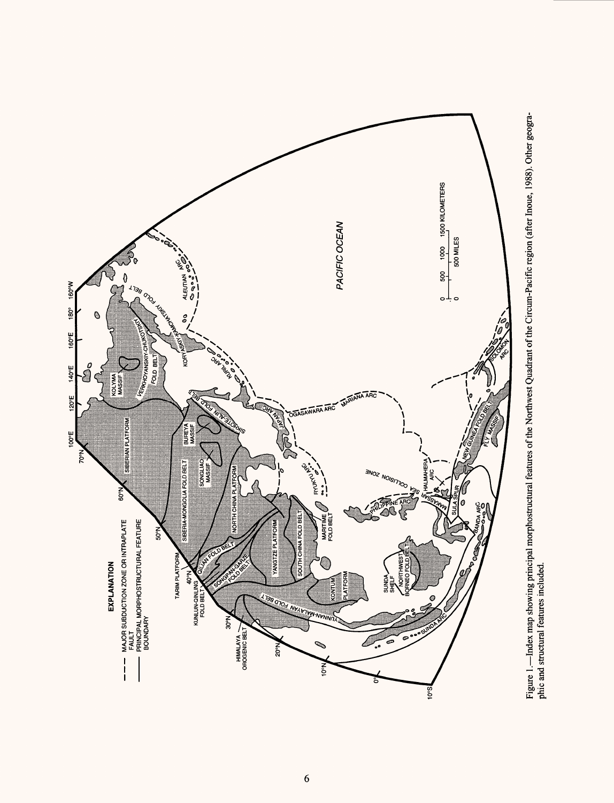

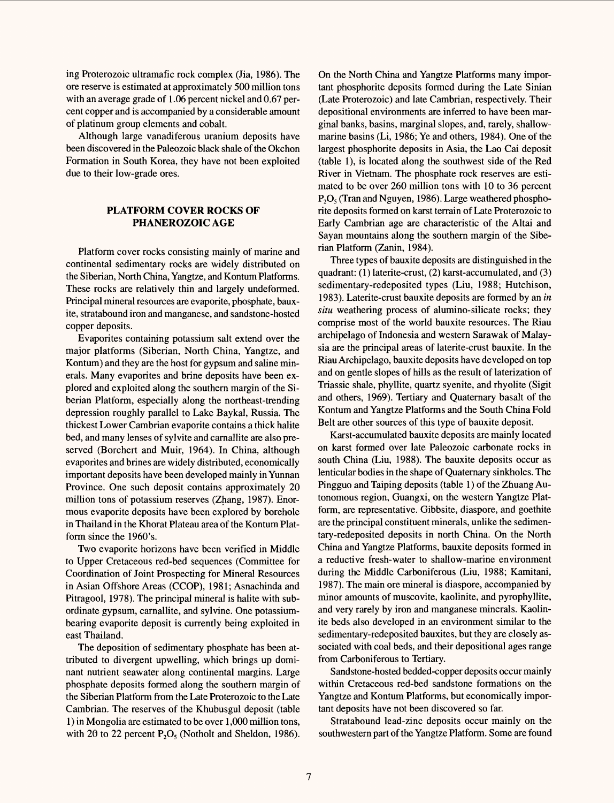ing Proterozoic ultramafic rock complex (Jia, 1986). The ore reserve is estimated at approximately 500 million tons with an average grade of 1.06 percent nickel and 0.67 percent copper and is accompanied by a considerable amount of platinum group elements and cobalt.

Although large vanadiferous uranium deposits have been discovered in the Paleozoic black shale of the Okchon Formation in South Korea, they have not been exploited due to their low-grade ores.

# **PLATFORM COVER ROCKS OF PHANEROZOIC AGE**

Platform cover rocks consisting mainly of marine and continental sedimentary rocks are widely distributed on the Siberian, North China, Yangtze, and Kontum Platforms. These rocks are relatively thin and largely undeformed. Principal mineral resources are evaporite, phosphate, bauxite, stratabound iron and manganese, and sandstone-hosted copper deposits.

Evaporites containing potassium salt extend over the major platforms (Siberian, North China, Yangtze, and Kontum) and they are the host for gypsum and saline minerals. Many evaporites and brine deposits have been explored and exploited along the southern margin of the Siberian Platform, especially along the northeast-trending depression roughly parallel to Lake Baykal, Russia. The thickest Lower Cambrian evaporite contains a thick halite bed, and many lenses of sylvite and carnallite are also preserved (Borchert and Muir, 1964). In China, although evaporites and brines are widely distributed, economically important deposits have been developed mainly in Yunnan Province. One such deposit contains approximately 20 million tons of potassium reserves (Zhang, 1987). Enormous evaporite deposits have been explored by borehole in Thailand in the Khorat Plateau area of the Kontum Platform since the 1960's.

Two evaporite horizons have been verified in Middle to Upper Cretaceous red-bed sequences (Committee for Coordination of Joint Prospecting for Mineral Resources in Asian Offshore Areas (CCOP), 1981; Asnachinda and Pitragool, 1978). The principal mineral is halite with subordinate gypsum, carnallite, and sylvine. One potassiumbearing evaporite deposit is currently being exploited in east Thailand.

The deposition of sedimentary phosphate has been attributed to divergent upwelling, which brings up dominant nutrient seawater along continental margins. Large phosphate deposits formed along the southern margin of the Siberian Platform from the Late Proterozoic to the Late Cambrian. The reserves of the Khubusgul deposit (table 1) in Mongolia are estimated to be over 1,000 million tons, with 20 to 22 percent  $P_2O_5$  (Notholt and Sheldon, 1986).

On the North China and Yangtze Platforms many important phosphorite deposits formed during the Late Sinian (Late Proterozoic) and late Cambrian, respectively. Their depositional environments are inferred to have been marginal banks, basins, marginal slopes, and, rarely, shallowmarine basins (Li, 1986; Ye and others, 1984). One of the largest phosphorite deposits in Asia, the Lao Cai deposit (table 1), is located along the southwest side of the Red River in Vietnam. The phosphate rock reserves are estimated to be over 260 million tons with 10 to 36 percent  $P_2O_5$  (Tran and Nguyen, 1986). Large weathered phosphorite deposits formed on karst terrain of Late Proterozoic to Early Cambrian age are characteristic of the Altai and Sayan mountains along the southern margin of the Siberian Platform (Zanin, 1984).

Three types of bauxite deposits are distinguished in the quadrant: (1) laterite-crust, (2) karst-accumulated, and (3) sedimentary-redeposited types (Liu, 1988; Hutchison, 1983). Laterite-crust bauxite deposits are formed by an *in situ* weathering process of alumino-silicate rocks; they comprise most of the world bauxite resources. The Riau archipelago of Indonesia and western Sarawak of Malaysia are the principal areas of laterite-crust bauxite. In the Riau Archipelago, bauxite deposits have developed on top and on gentle slopes of hills as the result of laterization of Triassic shale, phyllite, quartz syenite, and rhyolite (Sigit and others, 1969). Tertiary and Quaternary basalt of the Kontum and Yangtze Platforms and the South China Fold Belt are other sources of this type of bauxite deposit.

Karst-accumulated bauxite deposits are mainly located on karst formed over late Paleozoic carbonate rocks in south China (Liu, 1988). The bauxite deposits occur as lenticular bodies in the shape of Quaternary sinkholes. The Pingguo and Taiping deposits (table 1) of the Zhuang Autonomous region, Guangxi, on the western Yangtze Platform, are representative. Gibbsite, diaspore, and goethite are the principal constituent minerals, unlike the sedimentary-redeposited deposits in north China. On the North China and Yangtze Platforms, bauxite deposits formed in a reductive fresh-water to shallow-marine environment during the Middle Carboniferous (Liu, 1988; Kamitani, 1987). The main ore mineral is diaspore, accompanied by minor amounts of muscovite, kaolinite, and pyrophyllite, and very rarely by iron and manganese minerals. Kaolinite beds also developed in an environment similar to the sedimentary-redeposited bauxites, but they are closely associated with coal beds, and their depositional ages range from Carboniferous to Tertiary.

Sandstone-hosted bedded-copper deposits occur mainly within Cretaceous red-bed sandstone formations on the Yangtze and Kontum Platforms, but economically important deposits have not been discovered so far.

Stratabound lead-zinc deposits occur mainly on the southwestern part of the Yangtze Platform. Some are found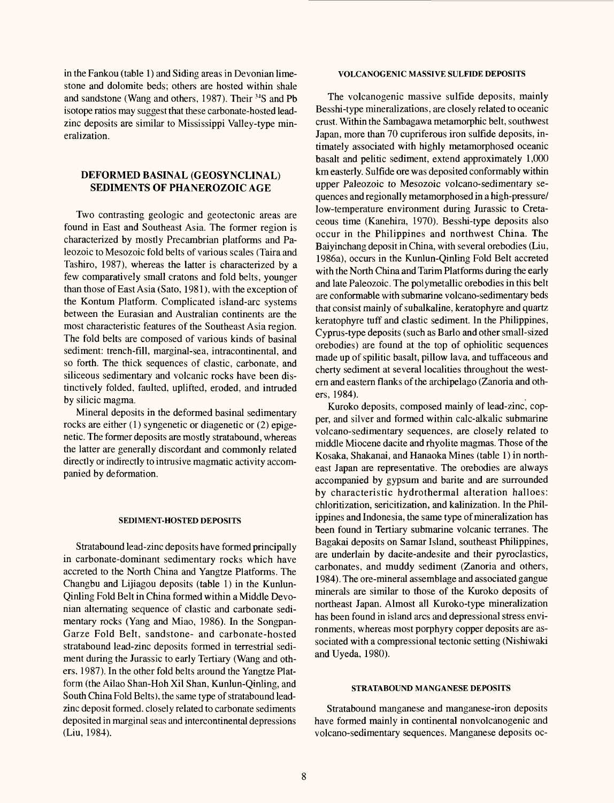in the Fankou (table 1) and Siding areas in Devonian limestone and dolomite beds; others are hosted within shale and sandstone (Wang and others, 1987). Their <sup>34</sup>S and Pb isotope ratios may suggest that these carbonate-hosted leadzinc deposits are similar to Mississippi Valley-type mineralization.

# **DEFORMED BASINAL (GEOSYNCLINAL) SEDIMENTS OF PHANEROZOIC AGE**

Two contrasting geologic and geotectonic areas are found in East and Southeast Asia. The former region is characterized by mostly Precambrian platforms and Paleozoic to Mesozoic fold belts of various scales (Taira and Tashiro, 1987), whereas the latter is characterized by a few comparatively small cratons and fold belts, younger than those of East Asia (Sato, 1981), with the exception of the Kontum Platform. Complicated island-arc systems between the Eurasian and Australian continents are the most characteristic features of the Southeast Asia region. The fold belts are composed of various kinds of basinal sediment: trench-fill, marginal-sea, intracontinental, and so forth. The thick sequences of clastic, carbonate, and siliceous sedimentary and volcanic rocks have been distinctively folded, faulted, uplifted, eroded, and intruded by silicic magma.

Mineral deposits in the deformed basinal sedimentary rocks are either (1) syngenetic or diagenetic or (2) epigenetic. The former deposits are mostly stratabound, whereas the latter are generally discordant and commonly related directly or indirectly to intrusive magmatic activity accompanied by deformation.

#### **SEDIMENT-HOSTED DEPOSITS**

Stratabound lead-zinc deposits have formed principally in carbonate-dominant sedimentary rocks which have accreted to the North China and Yangtze Platforms. The Changbu and Lijiagou deposits (table 1) in the Kunlun-Qinling Fold Belt in China formed within a Middle Devonian alternating sequence of clastic and carbonate sedimentary rocks (Yang and Miao, 1986). In the Songpan-Garze Fold Belt, sandstone- and carbonate-hosted stratabound lead-zinc deposits formed in terrestrial sediment during the Jurassic to early Tertiary (Wang and others, 1987). In the other fold belts around the Yangtze Platform (the Ailao Shan-Hoh Xil Shan, Kunlun-Qinling, and South China Fold Belts), the same type of stratabound leadzinc deposit formed, closely related to carbonate sediments deposited in marginal seas and intercontinental depressions (Liu, 1984).

#### **VOLCANOGENIC MASSIVE SULFIDE DEPOSITS**

The volcanogenic massive sulfide deposits, mainly Besshi-type mineralizations, are closely related to oceanic crust. Within the Sambagawa metamorphic belt, southwest Japan, more than 70 cupriferous iron sulfide deposits, intimately associated with highly metamorphosed oceanic basalt and pelitic sediment, extend approximately 1,000 km easterly. Sulfide ore was deposited conformably within upper Paleozoic to Mesozoic volcano-sedimentary sequences and regionally metamorphosed in a high-pressure/ low-temperature environment during Jurassic to Cretaceous time (Kanehira, 1970). Besshi-type deposits also occur in the Philippines and northwest China. The Baiyinchang deposit in China, with several orebodies (Liu, 1986a), occurs in the Kunlun-Qinling Fold Belt accreted with the North China and Tarim Platforms during the early and late Paleozoic. The polymetallic orebodies in this belt are conformable with submarine volcano-sedimentary beds that consist mainly of subalkaline, keratophyre and quartz keratophyre tuff and clastic sediment. In the Philippines, Cyprus-type deposits (such as Barlo and other small-sized orebodies) are found at the top of ophiolitic sequences made up of spilitic basalt, pillow lava, and tuffaceous and cherty sediment at several localities throughout the western and eastern flanks of the archipelago (Zanoria and others, 1984).

Kuroko deposits, composed mainly of lead-zinc, copper, and silver and formed within calc-alkalic submarine volcano-sedimentary sequences, are closely related to middle Miocene dacite and rhyolite magmas. Those of the Kosaka, Shakanai, and Hanaoka Mines (table 1) in northeast Japan are representative. The orebodies are always accompanied by gypsum and barite and are surrounded by characteristic hydrothermal alteration halloes: chloritization, sericitization, and kalinization. In the Philippines and Indonesia, the same type of mineralization has been found in Tertiary submarine volcanic terranes. The Bagakai deposits on Samar Island, southeast Philippines, are underlain by dacite-andesite and their pyroclastics, carbonates, and muddy sediment (Zanoria and others, 1984). The ore-mineral assemblage and associated gangue minerals are similar to those of the Kuroko deposits of northeast Japan. Almost all Kuroko-type mineralization has been found in island arcs and depressional stress environments, whereas most porphyry copper deposits are associated with a compressional tectonic setting (Nishiwaki and Uyeda, 1980).

#### **STRATABOUND MANGANESE DEPOSITS**

Stratabound manganese and manganese-iron deposits have formed mainly in continental nonvolcanogenic and volcano-sedimentary sequences. Manganese deposits oc-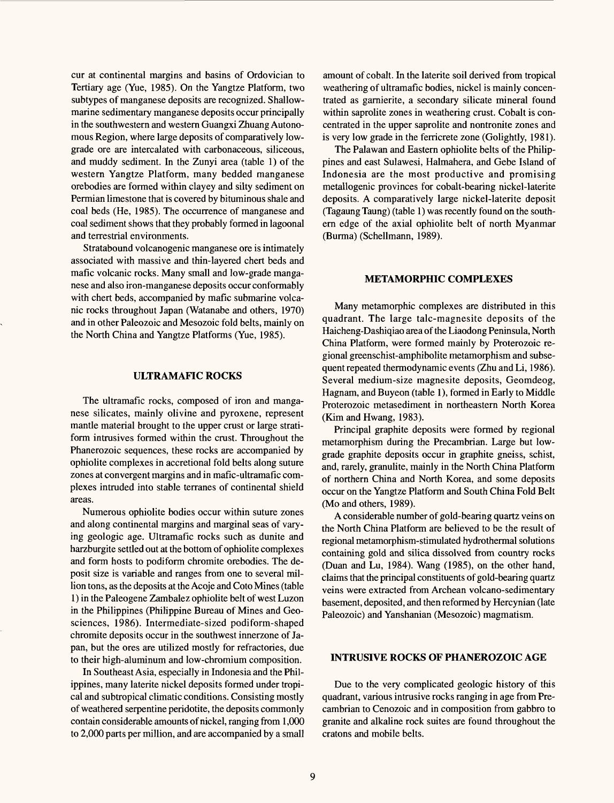cur at continental margins and basins of Ordovician to Tertiary age (Yue, 1985). On the Yangtze Platform, two subtypes of manganese deposits are recognized. Shallowmarine sedimentary manganese deposits occur principally in the southwestern and western Guangxi Zhuang Autonomous Region, where large deposits of comparatively lowgrade ore are intercalated with carbonaceous, siliceous, and muddy sediment. In the Zunyi area (table 1) of the western Yangtze Platform, many bedded manganese orebodies are formed within clayey and silty sediment on Permian limestone that is covered by bituminous shale and coal beds (He, 1985). The occurrence of manganese and coal sediment shows that they probably formed in lagoonal and terrestrial environments.

Stratabound volcanogenic manganese ore is intimately associated with massive and thin-layered chert beds and mafic volcanic rocks. Many small and low-grade manganese and also iron-manganese deposits occur conformably with chert beds, accompanied by mafic submarine volcanic rocks throughout Japan (Watanabe and others, 1970) and in other Paleozoic and Mesozoic fold belts, mainly on the North China and Yangtze Platforms (Yue, 1985).

#### **ULTRAMAFIC ROCKS**

The ultramafic rocks, composed of iron and manganese silicates, mainly olivine and pyroxene, represent mantle material brought to the upper crust or large stratiform intrusives formed within the crust. Throughout the Phanerozoic sequences, these rocks are accompanied by ophiolite complexes in accretional fold belts along suture zones at convergent margins and in mafic-ultramafic complexes intruded into stable terranes of continental shield areas.

Numerous ophiolite bodies occur within suture zones and along continental margins and marginal seas of varying geologic age. Ultramafic rocks such as dunite and harzburgite settled out at the bottom of ophiolite complexes and form hosts to podiform chromite orebodies. The deposit size is variable and ranges from one to several million tons, as the deposits at the Acoje and Goto Mines (table 1) in the Paleogene Zambalez ophiolite belt of west Luzon in the Philippines (Philippine Bureau of Mines and Geosciences, 1986). Intermediate-sized podiform-shaped chromite deposits occur in the southwest innerzone of Japan, but the ores are utilized mostly for refractories, due to their high-aluminum and low-chromium composition.

In Southeast Asia, especially in Indonesia and the Philippines, many laterite nickel deposits formed under tropical and subtropical climatic conditions. Consisting mostly of weathered serpentine peridotite, the deposits commonly contain considerable amounts of nickel, ranging from 1,000 to 2,000 parts per million, and are accompanied by a small

amount of cobalt. In the laterite soil derived from tropical weathering of ultramafic bodies, nickel is mainly concentrated as garnierite, a secondary silicate mineral found within saprolite zones in weathering crust. Cobalt is concentrated in the upper saprolite and nontronite zones and is very low grade in the ferricrete zone (Golightly, 1981).

The Palawan and Eastern ophiolite belts of the Philippines and east Sulawesi, Halmahera, and Gebe Island of Indonesia are the most productive and promising metallogenic provinces for cobalt-bearing nickel-laterite deposits. A comparatively large nickel-laterite deposit (Tagaung Taung) (table 1) was recently found on the southern edge of the axial ophiolite belt of north Myanmar (Burma) (Schellmann, 1989).

#### **METAMORPHIC COMPLEXES**

Many metamorphic complexes are distributed in this quadrant. The large talc-magnesite deposits of the Haicheng-Dashiqiao area of the Liaodong Peninsula, North China Platform, were formed mainly by Proterozoic regional greenschist-amphibolite metamorphism and subsequent repeated thermodynamic events (Zhu and Li, 1986). Several medium-size magnesite deposits, Geomdeog, Hagnam, and Buyeon (table 1), formed in Early to Middle Proterozoic metasediment in northeastern North Korea (Kim and Hwang, 1983).

Principal graphite deposits were formed by regional metamorphism during the Precambrian. Large but lowgrade graphite deposits occur in graphite gneiss, schist, and, rarely, granulite, mainly in the North China Platform of northern China and North Korea, and some deposits occur on the Yangtze Platform and South China Fold Belt (Mo and others, 1989).

A considerable number of gold-bearing quartz veins on the North China Platform are believed to be the result of regional metamorphism-stimulated hydrothermal solutions containing gold and silica dissolved from country rocks (Duan and Lu, 1984). Wang (1985), on the other hand, claims that the principal constituents of gold-bearing quartz veins were extracted from Archean volcano-sedimentary basement, deposited, and then reformed by Hercynian (late Paleozoic) and Yanshanian (Mesozoic) magmatism.

#### **INTRUSIVE ROCKS OF PHANEROZOIC AGE**

Due to the very complicated geologic history of this quadrant, various intrusive rocks ranging in age from Precambrian to Cenozoic and in composition from gabbro to granite and alkaline rock suites are found throughout the cratons and mobile belts.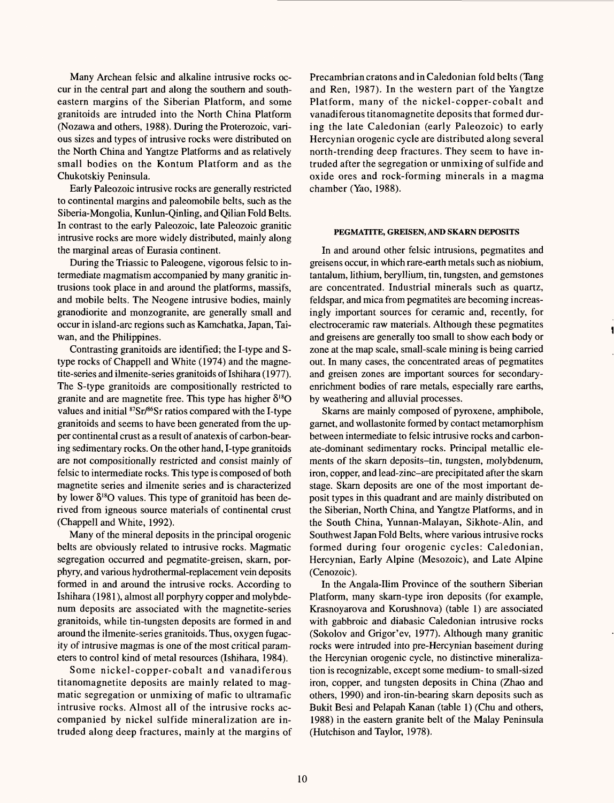Many Archean felsic and alkaline intrusive rocks occur in the central part and along the southern and southeastern margins of the Siberian Platform, and some granitoids are intruded into the North China Platform (Nozawa and others, 1988). During the Proterozoic, various sizes and types of intrusive rocks were distributed on the North China and Yangtze Platforms and as relatively small bodies on the Kontum Platform and as the Chukotskiy Peninsula.

Early Paleozoic intrusive rocks are generally restricted to continental margins and paleomobile belts, such as the Siberia-Mongolia, Kunlun-Qinling, and Qilian Fold Belts. In contrast to the early Paleozoic, late Paleozoic granitic intrusive rocks are more widely distributed, mainly along the marginal areas of Eurasia continent.

During the Triassic to Paleogene, vigorous felsic to intermediate magmatism accompanied by many granitic intrusions took place in and around the platforms, massifs, and mobile belts. The Neogene intrusive bodies, mainly granodiorite and monzogranite, are generally small and occur in island-arc regions such as Kamchatka, Japan, Taiwan, and the Philippines.

Contrasting granitoids are identified; the I-type and Stype rocks of Chappell and White (1974) and the magnetite-series and ilmenite-series granitoids of Ishihara (1977). The S-type granitoids are compositionally restricted to granite and are magnetite free. This type has higher  $\delta^{18}O$ values and initial <sup>87</sup>Sr/<sup>86</sup>Sr ratios compared with the I-type granitoids and seems to have been generated from the upper continental crust as a result of anatexis of carbon-bearing sedimentary rocks. On the other hand, I-type granitoids are not compositionally restricted and consist mainly of felsic to intermediate rocks. This type is composed of both magnetite series and ilmenite series and is characterized by lower  $\delta^{18}$ O values. This type of granitoid has been derived from igneous source materials of continental crust (Chappell and White, 1992).

Many of the mineral deposits in the principal orogenic belts are obviously related to intrusive rocks. Magmatic segregation occurred and pegmatite-greisen, skarn, porphyry, and various hydrothermal-replacement vein deposits formed in and around the intrusive rocks. According to Ishihara (1981), almost all porphyry copper and molybdenum deposits are associated with the magnetite-series granitoids, while tin-tungsten deposits are formed in and around the ilmenite-series granitoids. Thus, oxygen fugacity of intrusive magmas is one of the most critical parameters to control kind of metal resources (Ishihara, 1984).

Some nickel-copper-cobalt and vanadiferous titanomagnetite deposits are mainly related to magmatic segregation or unmixing of mafic to ultramafic intrusive rocks. Almost all of the intrusive rocks accompanied by nickel sulfide mineralization are intruded along deep fractures, mainly at the margins of Precambrian cratons and in Caledonian fold belts (Tang and Ren, 1987). In the western part of the Yangtze Platform, many of the nickel-copper-cobalt and vanadiferous titanomagnetite deposits that formed during the late Caledonian (early Paleozoic) to early Hercynian erogenic cycle are distributed along several north-trending deep fractures. They seem to have intruded after the segregation or unmixing of sulfide and oxide ores and rock-forming minerals in a magma chamber (Yao, 1988).

#### **PEGMATITE, GREISEN, AND SKARN DEPOSITS**

In and around other felsic intrusions, pegmatites and greisens occur, in which rare-earth metals such as niobium, tantalum, lithium, beryllium, tin, tungsten, and gemstones are concentrated. Industrial minerals such as quartz, feldspar, and mica from pegmatites are becoming increasingly important sources for ceramic and, recently, for electroceramic raw materials. Although these pegmatites and greisens are generally too small to show each body or zone at the map scale, small-scale mining is being carried out. In many cases, the concentrated areas of pegmatites and greisen zones are important sources for secondaryenrichment bodies of rare metals, especially rare earths, by weathering and alluvial processes.

Skarns are mainly composed of pyroxene, amphibole, garnet, and wollastonite formed by contact metamorphism between intermediate to felsic intrusive rocks and carbonate-dominant sedimentary rocks. Principal metallic elements of the skarn deposits-tin, tungsten, molybdenum, iron, copper, and lead-zinc-are precipitated after the skarn stage. Skarn deposits are one of the most important deposit types in this quadrant and are mainly distributed on the Siberian, North China, and Yangtze Platforms, and in the South China, Yunnan-Malayan, Sikhote-Alin, and Southwest Japan Fold Belts, where various intrusive rocks formed during four orogenic cycles: Caledonian, Hercynian, Early Alpine (Mesozoic), and Late Alpine (Cenozoic).

In the Angala-Ilim Province of the southern Siberian Platform, many skarn-type iron deposits (for example, Krasnoyarova and Korushnova) (table 1) are associated with gabbroic and diabasic Caledonian intrusive rocks (Sokolov and Grigor'ev, 1977). Although many granitic rocks were intruded into pre-Hercynian basement during the Hercynian erogenic cycle, no distinctive mineralization is recognizable, except some medium- to small-sized iron, copper, and tungsten deposits in China (Zhao and others, 1990) and iron-tin-bearing skarn deposits such as Bukit Besi and Pelapah Kanan (table 1) (Chu and others, 1988) in the eastern granite belt of the Malay Peninsula (Hutchison and Taylor, 1978).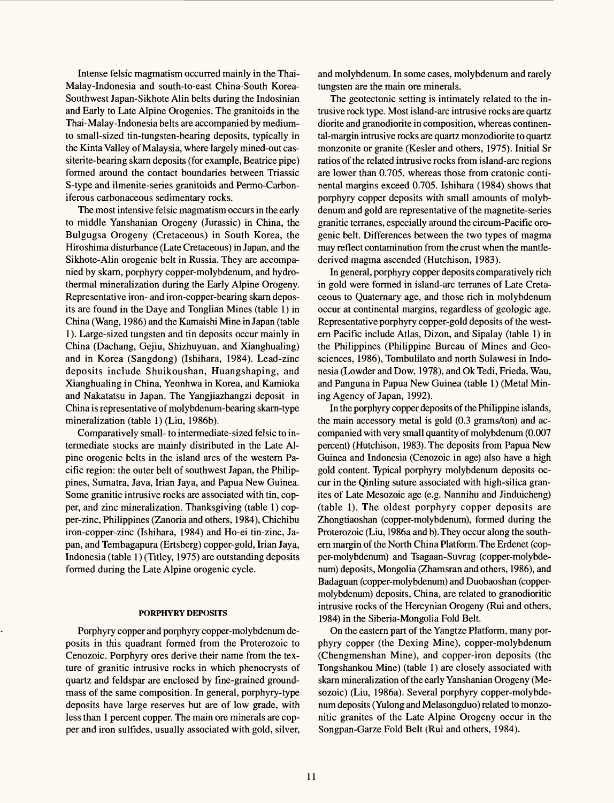Intense felsic magmatism occurred mainly in the Thai-Malay-Indonesia and south-to-east China-South Korea-Southwest Japan-Sikhote Alin belts during the Indosinian and Early to Late Alpine Orogenies. The granitoids in the Thai-Malay-Indonesia belts are accompanied by mediumto small-sized tin-tungsten-bearing deposits, typically in the Kinta Valley of Malaysia, where largely mined-out cassiterite-bearing skarn deposits (for example, Beatrice pipe) formed around the contact boundaries between Triassic S-type and ilmenite-series granitoids and Permo-Carboniferous carbonaceous sedimentary rocks.

The most intensive felsic magmatism occurs in the early to middle Yanshanian Orogeny (Jurassic) in China, the Bulgugsa Orogeny (Cretaceous) in South Korea, the Hiroshima disturbance (Late Cretaceous) in Japan, and the Sikhote-Alin orogenic belt in Russia. They are accompanied by skarn, porphyry copper-molybdenum, and hydrothermal mineralization during the Early Alpine Orogeny. Representative iron- and iron-copper-bearing skarn deposits are found in the Daye and Tonglian Mines (table 1) in China (Wang, 1986) and the Kamaishi Mine in Japan (table 1). Large-sized tungsten and tin deposits occur mainly in China (Dachang, Gejiu, Shizhuyuan, and Xianghualing) and in Korea (Sangdong) (Ishihara, 1984). Lead-zinc deposits include Shuikoushan, Huangshaping, and Xianghualing in China, Yeonhwa in Korea, and Kamioka and Nakatatsu in Japan. The Yangjiazhangzi deposit in China is representative of molybdenum-bearing skarn-type mineralization (table 1) (Liu, 1986b).

Comparatively small- to intermediate-sized felsic to intermediate stocks are mainly distributed in the Late Alpine erogenic belts in the island arcs of the western Pacific region: the outer belt of southwest Japan, the Philippines, Sumatra, Java, Irian Jaya, and Papua New Guinea. Some granitic intrusive rocks are associated with tin, copper, and zinc mineralization. Thanksgiving (table 1) copper-zinc, Philippines (Zanoria and others, 1984), Chichibu iron-copper-zinc (Ishihara, 1984) and Ho-ei tin-zinc, Japan, and Tembagapura (Ertsberg) copper-gold, Irian Jaya, Indonesia (table 1) (Titley, 1975) are outstanding deposits formed during the Late Alpine orogenic cycle.

#### **PORPHYRY DEPOSITS**

Porphyry copper and porphyry copper-molybdenum deposits in this quadrant formed from the Proterozoic to Cenozoic. Porphyry ores derive their name from the texture of granitic intrusive rocks in which phenocrysts of quartz and feldspar are enclosed by fine-grained groundmass of the same composition. In general, porphyry-type deposits have large reserves but are of low grade, with less than 1 percent copper. The main ore minerals are copper and iron sulfides, usually associated with gold, silver, and molybdenum. In some cases, molybdenum and rarely tungsten are the main ore minerals.

The geotectonic setting is intimately related to the intrusive rock type. Most island-arc intrusive rocks are quartz diorite and granodiorite in composition, whereas continental-margin intrusive rocks are quartz monzodiorite to quartz monzonite or granite (Kesler and others, 1975). Initial Sr ratios of the related intrusive rocks from island-arc regions are lower than 0.705, whereas those from cratonic continental margins exceed 0.705. Ishihara (1984) shows that porphyry copper deposits with small amounts of molybdenum and gold are representative of the magnetite-series granitic terranes, especially around the circum-Pacific orogenic belt. Differences between the two types of magma may reflect contamination from the crust when the mantlederived magma ascended (Hutchison, 1983).

In general, porphyry copper deposits comparatively rich in gold were formed in island-arc terranes of Late Cretaceous to Quaternary age, and those rich in molybdenum occur at continental margins, regardless of geologic age. Representative porphyry copper-gold deposits of the western Pacific include Atlas, Dizon, and Sipalay (table 1) in the Philippines (Philippine Bureau of Mines and Geosciences, 1986), Tombulilato and north Sulawesi in Indonesia (Lowder and Dow, 1978), and Ok Tedi, Frieda, Wau, and Panguna in Papua New Guinea (table 1) (Metal Mining Agency of Japan, 1992).

In the porphyry copper deposits of the Philippine islands, the main accessory metal is gold (0.3 grams/ton) and accompanied with very small quantity of molybdenum (0.007 percent) (Hutchison, 1983). The deposits from Papua New Guinea and Indonesia (Cenozoic in age) also have a high gold content. Typical porphyry molybdenum deposits occur in the Qinling suture associated with high-silica granites of Late Mesozoic age (e.g. Nannihu and Jinduicheng) (table 1). The oldest porphyry copper deposits are Zhongtiaoshan (copper-molybdenum), formed during the Proterozoic (Liu, 1986a and b). They occur along the southern margin of the North China Platform. The Erdenet (copper-molybdenum) and Tsagaan-Suvrag (copper-molybdenum) deposits, Mongolia (Zhamsran and others, 1986), and Badaguan (copper-molybdenum) and Duobaoshan (coppermolybdenum) deposits, China, are related to granodioritic intrusive rocks of the Hercynian Orogeny (Rui and others, 1984) in the Siberia-Mongolia Fold Belt.

On the eastern part of the Yangtze Platform, many porphyry copper (the Dexing Mine), copper-molybdenum (Chengmenshan Mine), and copper-iron deposits (the Tongshankou Mine) (table 1) are closely associated with skarn mineralization of the early Yanshanian Orogeny (Mesozoic) (Liu, 1986a). Several porphyry copper-molybdenum deposits (Yulong and Melasongduo) related to monzonitic granites of the Late Alpine Orogeny occur in the Songpan-Garze Fold Belt (Rui and others, 1984).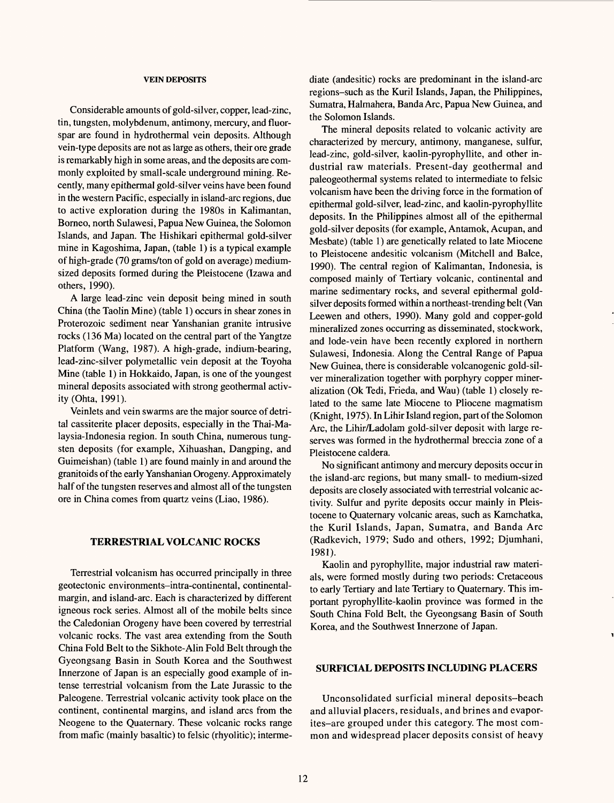#### **VEIN DEPOSITS**

Considerable amounts of gold-silver, copper, lead-zinc, tin, tungsten, molybdenum, antimony, mercury, and fluorspar are found in hydrothermal vein deposits. Although vein-type deposits are not as large as others, their ore grade is remarkably high in some areas, and the deposits are commonly exploited by small-scale underground mining. Recently, many epithermal gold-silver veins have been found in the western Pacific, especially in island-arc regions, due to active exploration during the 1980s in Kalimantan, Borneo, north Sulawesi, Papua New Guinea, the Solomon Islands, and Japan. The Hishikari epithermal gold-silver mine in Kagoshima, Japan, (table 1) is a typical example of high-grade (70 grams/ton of gold on average) mediumsized deposits formed during the Pleistocene (Izawa and others, 1990).

A large lead-zinc vein deposit being mined in south China (the Taolin Mine) (table 1) occurs in shear zones in Proterozoic sediment near Yanshanian granite intrusive rocks (136 Ma) located on the central part of the Yangtze Platform (Wang, 1987). A high-grade, indium-bearing, lead-zinc-silver polymetallic vein deposit at the Toyoha Mine (table 1) in Hokkaido, Japan, is one of the youngest mineral deposits associated with strong geothermal activity (Ohta, 1991).

Veinlets and vein swarms are the major source of detrital cassiterite placer deposits, especially in the Thai-Malaysia-Indonesia region. In south China, numerous tungsten deposits (for example, Xihuashan, Dangping, and Guimeishan) (table 1) are found mainly in and around the granitoids of the early Yanshanian Orogeny. Approximately half of the tungsten reserves and almost all of the tungsten ore in China comes from quartz veins (Liao, 1986).

#### **TERRESTRIAL VOLCANIC ROCKS**

Terrestrial volcanism has occurred principally in three geotectonic environments-intra-continental, continentalmargin, and island-arc. Each is characterized by different igneous rock series. Almost all of the mobile belts since the Caledonian Orogeny have been covered by terrestrial volcanic rocks. The vast area extending from the South China Fold Belt to the Sikhote-Alin Fold Belt through the Gyeongsang Basin in South Korea and the Southwest Innerzone of Japan is an especially good example of intense terrestrial volcanism from the Late Jurassic to the Paleogene. Terrestrial volcanic activity took place on the continent, continental margins, and island arcs from the Neogene to the Quaternary. These volcanic rocks range from mafic (mainly basaltic) to felsic (rhyolitic); intermediate (andesitic) rocks are predominant in the island-arc regions-such as the Kuril Islands, Japan, the Philippines, Sumatra, Halmahera, Banda Arc, Papua New Guinea, and the Solomon Islands.

The mineral deposits related to volcanic activity are characterized by mercury, antimony, manganese, sulfur, lead-zinc, gold-silver, kaolin-pyrophyllite, and other industrial raw materials. Present-day geothermal and paleogeothermal systems related to intermediate to felsic volcanism have been the driving force in the formation of epithermal gold-silver, lead-zinc, and kaolin-pyrophyllite deposits. In the Philippines almost all of the epithermal gold-silver deposits (for example, Antamok, Acupan, and Mesbate) (table 1) are genetically related to late Miocene to Pleistocene andesitic volcanism (Mitchell and Balce, 1990). The central region of Kalimantan, Indonesia, is composed mainly of Tertiary volcanic, continental and marine sedimentary rocks, and several epithermal goldsilver deposits formed within a northeast-trending belt (Van Leewen and others, 1990). Many gold and copper-gold mineralized zones occurring as disseminated, stockwork, and lode-vein have been recently explored in northern Sulawesi, Indonesia. Along the Central Range of Papua New Guinea, there is considerable volcanogenic gold-silver mineralization together with porphyry copper mineralization (Ok Tedi, Frieda, and Wau) (table 1) closely related to the same late Miocene to Pliocene magmatism (Knight, 1975). In Lihir Island region, part of the Solomon Arc, the Lihir/Ladolam gold-silver deposit with large reserves was formed in the hydrothermal breccia zone of a Pleistocene caldera.

No significant antimony and mercury deposits occur in the island-arc regions, but many small- to medium-sized deposits are closely associated with terrestrial volcanic activity. Sulfur and pyrite deposits occur mainly in Pleistocene to Quaternary volcanic areas, such as Kamchatka, the Kuril Islands, Japan, Sumatra, and Banda Arc (Radkevich, 1979; Sudo and others, 1992; Djumhani, 1981).

Kaolin and pyrophyllite, major industrial raw materials, were formed mostly during two periods: Cretaceous to early Tertiary and late Tertiary to Quaternary. This important pyrophyllite-kaolin province was formed in the South China Fold Belt, the Gyeongsang Basin of South Korea, and the Southwest Innerzone of Japan.

#### **SURFICIAL DEPOSITS INCLUDING PLACERS**

Unconsolidated surficial mineral deposits-beach and alluvial placers, residuals, and brines and evaporites-are grouped under this category. The most common and widespread placer deposits consist of heavy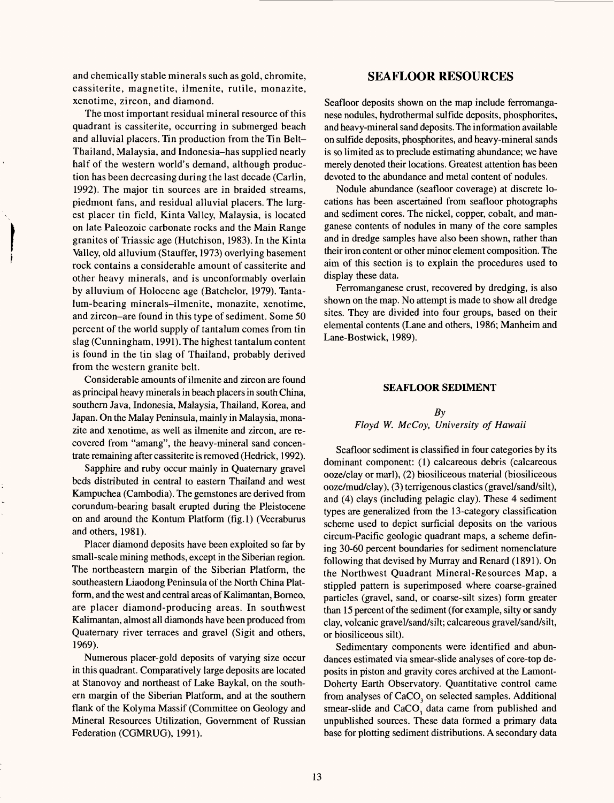and chemically stable minerals such as gold, chromite, cassiterite, magnetite, ilmenite, rutile, monazite, xenotime, zircon, and diamond.

The most important residual mineral resource of this quadrant is cassiterite, occurring in submerged beach and alluvial placers. Tin production from the Tin Belt-Thailand, Malaysia, and Indonesia-has supplied nearly half of the western world's demand, although production has been decreasing during the last decade (Carlin, 1992). The major tin sources are in braided streams, piedmont fans, and residual alluvial placers. The largest placer tin field, Kinta Valley, Malaysia, is located on late Paleozoic carbonate rocks and the Main Range granites of Triassic age (Hutchison, 1983). In the Kinta Valley, old alluvium (Stauffer, 1973) overlying basement rock contains a considerable amount of cassiterite and other heavy minerals, and is unconformably overlain by alluvium of Holocene age (Batchelor, 1979). Tantalum-bearing minerals-ilmenite, monazite, xenotime, and zircon-are found in this type of sediment. Some 50 percent of the world supply of tantalum comes from tin slag (Cunningham, 1991). The highest tantalum content is found in the tin slag of Thailand, probably derived from the western granite belt.

Considerable amounts of ilmenite and zircon are found as principal heavy minerals in beach placers in south China, southern Java, Indonesia, Malaysia, Thailand, Korea, and Japan. On the Malay Peninsula, mainly in Malaysia, monazite and xenotime, as well as ilmenite and zircon, are recovered from "amang", the heavy-mineral sand concentrate remaining after cassiterite is removed (Hedrick, 1992).

Sapphire and ruby occur mainly in Quaternary gravel beds distributed in central to eastern Thailand and west Kampuchea (Cambodia). The gemstones are derived from corundum-bearing basalt erupted during the Pleistocene on and around the Kontum Platform (fig.l) (Veeraburus and others, 1981).

Placer diamond deposits have been exploited so far by small-scale mining methods, except in the Siberian region. The northeastern margin of the Siberian Platform, the southeastern Liaodong Peninsula of the North China Platform, and the west and central areas of Kalimantan, Borneo, are placer diamond-producing areas. In southwest Kalimantan, almost all diamonds have been produced from Quaternary river terraces and gravel (Sigit and others, 1969).

Numerous placer-gold deposits of varying size occur in this quadrant. Comparatively large deposits are located at Stanovoy and northeast of Lake Baykal, on the southern margin of the Siberian Platform, and at the southern flank of the Kolyma Massif (Committee on Geology and Mineral Resources Utilization, Government of Russian Federation (CGMRUG), 1991).

# **SEAFLOOR RESOURCES**

Seafloor deposits shown on the map include ferromanganese nodules, hydrothermal sulfide deposits, phosphorites, and heavy-mineral sand deposits. The information available on sulfide deposits, phosphorites, and heavy-mineral sands is so limited as to preclude estimating abundance; we have merely denoted their locations. Greatest attention has been devoted to the abundance and metal content of nodules.

Nodule abundance (seafloor coverage) at discrete locations has been ascertained from seafloor photographs and sediment cores. The nickel, copper, cobalt, and manganese contents of nodules in many of the core samples and in dredge samples have also been shown, rather than their iron content or other minor element composition. The aim of this section is to explain the procedures used to display these data.

Ferromanganese crust, recovered by dredging, is also shown on the map. No attempt is made to show all dredge sites. They are divided into four groups, based on their elemental contents (Lane and others, 1986; Manheim and Lane-Bostwick, 1989).

#### **SEAFLOOR SEDIMENT**

#### *By Floyd W. McCoy, University of Hawaii*

Seafloor sediment is classified in four categories by its dominant component: (1) calcareous debris (calcareous ooze/clay or marl), (2) biosiliceous material (biosiliceous ooze/mud/clay), (3) terrigenous elastics (gravel/sand/silt), and (4) clays (including pelagic clay). These 4 sediment types are generalized from the 13-category classification scheme used to depict surficial deposits on the various circum-Pacific geologic quadrant maps, a scheme defining 30-60 percent boundaries for sediment nomenclature following that devised by Murray and Renard (1891). On the Northwest Quadrant Mineral-Resources Map, a stippled pattern is superimposed where coarse-grained particles (gravel, sand, or coarse-silt sizes) form greater than 15 percent of the sediment (for example, silty or sandy clay, volcanic gravel/sand/silt; calcareous gravel/sand/silt, or biosiliceous silt).

Sedimentary components were identified and abundances estimated via smear-slide analyses of core-top deposits in piston and gravity cores archived at the Lamont-Doherty Earth Observatory. Quantitative control came from analyses of CaCO<sub>3</sub> on selected samples. Additional smear-slide and CaCO<sub>3</sub> data came from published and unpublished sources. These data formed a primary data base for plotting sediment distributions. A secondary data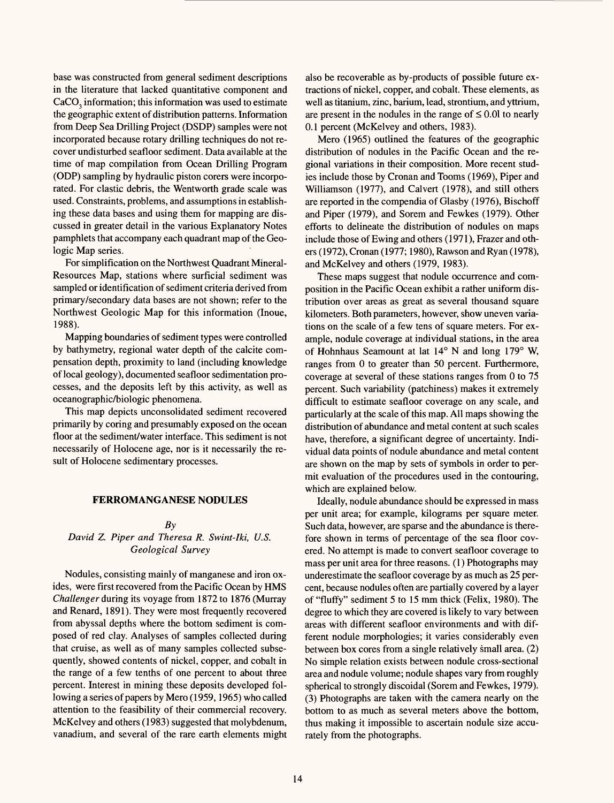base was constructed from general sediment descriptions in the literature that lacked quantitative component and CaCO<sub>2</sub> information; this information was used to estimate the geographic extent of distribution patterns. Information from Deep Sea Drilling Project (DSDP) samples were not incorporated because rotary drilling techniques do not recover undisturbed seafloor sediment. Data available at the time of map compilation from Ocean Drilling Program (OOP) sampling by hydraulic piston corers were incorporated. For clastic debris, the Wentworth grade scale was used. Constraints, problems, and assumptions in establishing these data bases and using them for mapping are discussed in greater detail in the various Explanatory Notes pamphlets that accompany each quadrant map of the Geologic Map series.

For simplification on the Northwest Quadrant Mineral-Resources Map, stations where surficial sediment was sampled or identification of sediment criteria derived from primary/secondary data bases are not shown; refer to the Northwest Geologic Map for this information (Inoue, 1988).

Mapping boundaries of sediment types were controlled by bathymetry, regional water depth of the calcite compensation depth, proximity to land (including knowledge of local geology), documented seafloor sedimentation processes, and the deposits left by this activity, as well as oceanographic/biologic phenomena.

This map depicts unconsolidated sediment recovered primarily by coring and presumably exposed on the ocean floor at the sediment/water interface. This sediment is not necessarily of Holocene age, nor is it necessarily the result of Holocene sedimentary processes.

#### **FERROMANGANESE NODULES**

#### *By*

# *David Z. Piper and Theresa R. Swint-Iki, U.S. Geological Survey*

Nodules, consisting mainly of manganese and iron oxides, were first recovered from the Pacific Ocean by HMS *Challenger during* its voyage from 1872 to 1876 (Murray and Renard, 1891). They were most frequently recovered from abyssal depths where the bottom sediment is composed of red clay. Analyses of samples collected during that cruise, as well as of many samples collected subsequently, showed contents of nickel, copper, and cobalt in the range of a few tenths of one percent to about three percent. Interest in mining these deposits developed following a series of papers by Mero (1959,1965) who called attention to the feasibility of their commercial recovery. McKelvey and others (1983) suggested that molybdenum, vanadium, and several of the rare earth elements might also be recoverable as by-products of possible future extractions of nickel, copper, and cobalt. These elements, as well as titanium, zinc, barium, lead, strontium, and yttrium, are present in the nodules in the range of  $\leq 0.01$  to nearly 0.1 percent (McKelvey and others, 1983).

Mero (1965) outlined the features of the geographic distribution of nodules in the Pacific Ocean and the regional variations in their composition. More recent studies include those by Cronan and Tooms (1969), Piper and Williamson (1977), and Calvert (1978), and still others are reported in the compendia of Glasby (1976), Bischoff and Piper (1979), and Sorem and Fewkes (1979). Other efforts to delineate the distribution of nodules on maps include those of Ewing and others (1971), Frazer and others (1972), Cronan (1977; 1980), Rawson and Ryan (1978), and McKelvey and others (1979, 1983).

These maps suggest that nodule occurrence and composition in the Pacific Ocean exhibit a rather uniform distribution over areas as great as several thousand square kilometers. Both parameters, however, show uneven variations on the scale of a few tens of square meters. For example, nodule coverage at individual stations, in the area of Hohnhaus Seamount at lat 14° N and long 179° W, ranges from 0 to greater than 50 percent. Furthermore, coverage at several of these stations ranges from 0 to 75 percent. Such variability (patchiness) makes it extremely difficult to estimate seafloor coverage on any scale, and particularly at the scale of this map. All maps showing the distribution of abundance and metal content at such scales have, therefore, a significant degree of uncertainty. Individual data points of nodule abundance and metal content are shown on the map by sets of symbols in order to permit evaluation of the procedures used in the contouring, which are explained below.

Ideally, nodule abundance should be expressed in mass per unit area; for example, kilograms per square meter. Such data, however, are sparse and the abundance is therefore shown in terms of percentage of the sea floor covered. No attempt is made to convert seafloor coverage to mass per unit area for three reasons. (1) Photographs may underestimate the seafloor coverage by as much as 25 percent, because nodules often are partially covered by a layer of "fluffy" sediment 5 to 15 mm thick (Felix, 1980). The degree to which they are covered is likely to vary between areas with different seafloor environments and with different nodule morphologies; it varies considerably even between box cores from a single relatively small area. (2) No simple relation exists between nodule cross-sectional area and nodule volume; nodule shapes vary from roughly spherical to strongly discoidal (Sorem and Fewkes, 1979). (3) Photographs are taken with the camera nearly on the bottom to as much as several meters above the bottom, thus making it impossible to ascertain nodule size accurately from the photographs.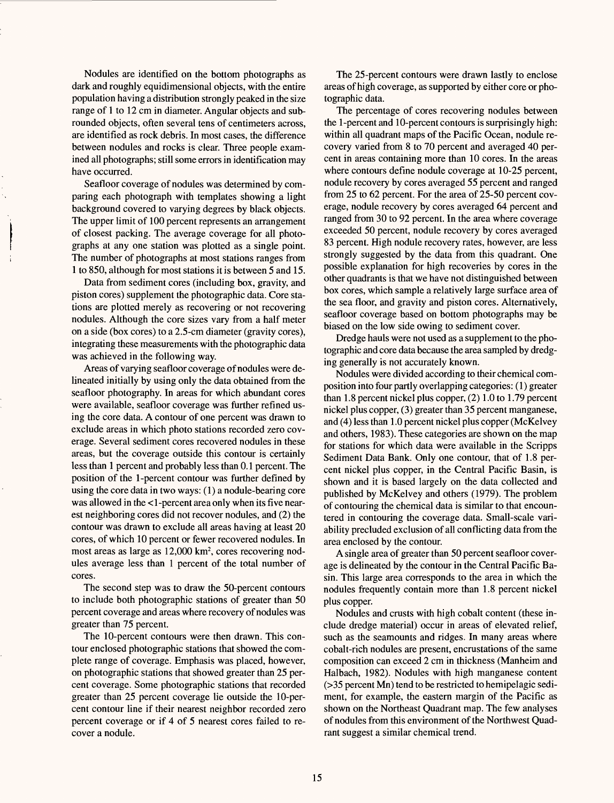Nodules are identified on the bottom photographs as dark and roughly equidimensional objects, with the entire population having a distribution strongly peaked in the size range of 1 to 12 cm in diameter. Angular objects and subrounded objects, often several tens of centimeters across, are identified as rock debris. In most cases, the difference between nodules and rocks is clear. Three people examined all photographs; still some errors in identification may have occurred.

Seafloor coverage of nodules was determined by comparing each photograph with templates showing a light background covered to varying degrees by black objects. The upper limit of 100 percent represents an arrangement of closest packing. The average coverage for all photographs at any one station was plotted as a single point. The number of photographs at most stations ranges from 1 to 850, although for most stations it is between 5 and 15.

Data from sediment cores (including box, gravity, and piston cores) supplement the photographic data. Core stations are plotted merely as recovering or not recovering nodules. Although the core sizes vary from a half meter on a side (box cores) to a 2.5-cm diameter (gravity cores), integrating these measurements with the photographic data was achieved in the following way.

Areas of varying seafloor coverage of nodules were delineated initially by using only the data obtained from the seafloor photography. In areas for which abundant cores were available, seafloor coverage was further refined using the core data. A contour of one percent was drawn to exclude areas in which photo stations recorded zero coverage. Several sediment cores recovered nodules in these areas, but the coverage outside this contour is certainly less than 1 percent and probably less than 0.1 percent. The position of the 1-percent contour was further defined by using the core data in two ways: (1) a nodule-bearing core was allowed in the <1-percent area only when its five nearest neighboring cores did not recover nodules, and (2) the contour was drawn to exclude all areas having at least 20 cores, of which 10 percent or fewer recovered nodules. In most areas as large as 12,000 km<sup>2</sup>, cores recovering nodules average less than 1 percent of the total number of cores.

The second step was to draw the 50-percent contours to include both photographic stations of greater than 50 percent coverage and areas where recovery of nodules was greater than 75 percent.

The 10-percent contours were then drawn. This contour enclosed photographic stations that showed the complete range of coverage. Emphasis was placed, however, on photographic stations that showed greater than 25 percent coverage. Some photographic stations that recorded greater than 25 percent coverage lie outside the 10-percent contour line if their nearest neighbor recorded zero percent coverage or if 4 of 5 nearest cores failed to recover a nodule.

The 25-percent contours were drawn lastly to enclose areas of high coverage, as supported by either core or photographic data.

The percentage of cores recovering nodules between the 1-percent and 10-percent contours is surprisingly high: within all quadrant maps of the Pacific Ocean, nodule recovery varied from 8 to 70 percent and averaged 40 percent in areas containing more than 10 cores. In the areas where contours define nodule coverage at 10-25 percent, nodule recovery by cores averaged 55 percent and ranged from 25 to 62 percent. For the area of 25-50 percent coverage, nodule recovery by cores averaged 64 percent and ranged from 30 to 92 percent. In the area where coverage exceeded 50 percent, nodule recovery by cores averaged 83 percent. High nodule recovery rates, however, are less strongly suggested by the data from this quadrant. One possible explanation for high recoveries by cores in the other quadrants is that we have not distinguished between box cores, which sample a relatively large surface area of the sea floor, and gravity and piston cores. Alternatively, seafloor coverage based on bottom photographs may be biased on the low side owing to sediment cover.

Dredge hauls were not used as a supplement to the photographic and core data because the area sampled by dredging generally is not accurately known.

Nodules were divided according to their chemical composition into four partly overlapping categories: (1) greater than 1.8 percent nickel plus copper, (2) 1.0 to 1.79 percent nickel plus copper, (3) greater than 35 percent manganese, and (4) less than 1.0 percent nickel plus copper (McKelvey and others, 1983). These categories are shown on the map for stations for which data were available in the Scripps Sediment Data Bank. Only one contour, that of 1.8 percent nickel plus copper, in the Central Pacific Basin, is shown and it is based largely on the data collected and published by McKelvey and others (1979). The problem of contouring the chemical data is similar to that encountered in contouring the coverage data. Small-scale variability precluded exclusion of all conflicting data from the area enclosed by the contour.

A single area of greater than 50 percent seafloor coverage is delineated by the contour in the Central Pacific Basin. This large area corresponds to the area in which the nodules frequently contain more than 1.8 percent nickel plus copper.

Nodules and crusts with high cobalt content (these include dredge material) occur in areas of elevated relief, such as the seamounts and ridges. In many areas where cobalt-rich nodules are present, encrustations of the same composition can exceed 2 cm in thickness (Manheim and Halbach, 1982). Nodules with high manganese content (>35 percent Mn) tend to be restricted to hemipelagic sediment, for example, the eastern margin of the Pacific as shown on the Northeast Quadrant map. The few analyses of nodules from this environment of the Northwest Quadrant suggest a similar chemical trend.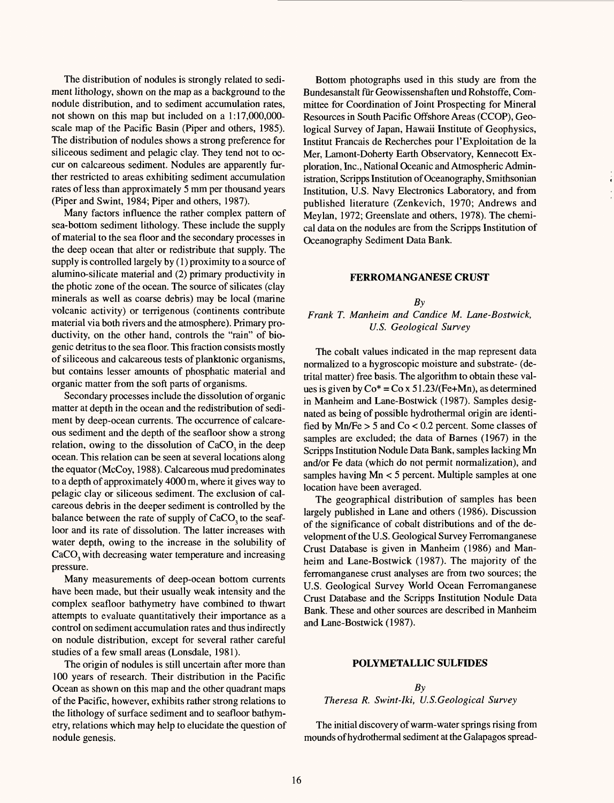The distribution of nodules is strongly related to sediment lithology, shown on the map as a background to the nodule distribution, and to sediment accumulation rates, not shown on this map but included on a 1:17,000,000 scale map of the Pacific Basin (Piper and others, 1985). The distribution of nodules shows a strong preference for siliceous sediment and pelagic clay. They tend not to occur on calcareous sediment. Nodules are apparently further restricted to areas exhibiting sediment accumulation rates of less than approximately 5 mm per thousand years (Piper and Swint, 1984; Piper and others, 1987).

Many factors influence the rather complex pattern of sea-bottom sediment lithology. These include the supply of material to the sea floor and the secondary processes in the deep ocean that alter or redistribute that supply. The supply is controlled largely by (1) proximity to a source of alumino-silicate material and (2) primary productivity in the photic zone of the ocean. The source of silicates (clay minerals as well as coarse debris) may be local (marine volcanic activity) or terrigenous (continents contribute material via both rivers and the atmosphere). Primary productivity, on the other hand, controls the "rain" of biogenie detritus to the sea floor. This fraction consists mostly of siliceous and calcareous tests of planktonic organisms, but contains lesser amounts of phosphatic material and organic matter from the soft parts of organisms.

Secondary processes include the dissolution of organic matter at depth in the ocean and the redistribution of sediment by deep-ocean currents. The occurrence of calcareous sediment and the depth of the seafloor show a strong relation, owing to the dissolution of  $CaCO<sub>3</sub>$  in the deep ocean. This relation can be seen at several locations along the equator (McCoy, 1988). Calcareous mud predominates to a depth of approximately 4000 m, where it gives way to pelagic clay or siliceous sediment. The exclusion of calcareous debris in the deeper sediment is controlled by the balance between the rate of supply of  $CaCO<sub>3</sub>$  to the seafloor and its rate of dissolution. The latter increases with water depth, owing to the increase in the solubility of CaCO<sub>2</sub> with decreasing water temperature and increasing pressure.

Many measurements of deep-ocean bottom currents have been made, but their usually weak intensity and the complex seafloor bathymetry have combined to thwart attempts to evaluate quantitatively their importance as a control on sediment accumulation rates and thus indirectly on nodule distribution, except for several rather careful studies of a few small areas (Lonsdale, 1981).

The origin of nodules is still uncertain after more than 100 years of research. Their distribution in the Pacific Ocean as shown on this map and the other quadrant maps of the Pacific, however, exhibits rather strong relations to the lithology of surface sediment and to seafloor bathymetry, relations which may help to elucidate the question of nodule genesis.

Bottom photographs used in this study are from the Bundesanstalt fur Geowissenshaften und Rohstoffe, Committee for Coordination of Joint Prospecting for Mineral Resources in South Pacific Offshore Areas (CCOP), Geological Survey of Japan, Hawaii Institute of Geophysics, Institut Francais de Recherches pour 1'Exploitation de la Mer, Lamont-Doherty Earth Observatory, Kennecott Exploration, Inc., National Oceanic and Atmospheric Administration, Scripps Institution of Oceanography, Smithsonian Institution, U.S. Navy Electronics Laboratory, and from published literature (Zenkevich, 1970; Andrews and Meylan, 1972; Greenslate and others, 1978). The chemical data on the nodules are from the Scripps Institution of Oceanography Sediment Data Bank.

## **FERROMANGANESE CRUST**

#### *By Frank T. Manheim and Candice M. Lane-Bostwick, U.S. Geological Survey*

The cobalt values indicated in the map represent data normalized to a hygroscopic moisture and substrate- (detrital matter) free basis. The algorithm to obtain these values is given by  $\text{Co}^* = \text{Co} \times 51.23 / (\text{Fe} + \text{Mn})$ , as determined in Manheim and Lane-Bostwick (1987). Samples designated as being of possible hydrothermal origin are identified by Mn/Fe  $> 5$  and Co  $< 0.2$  percent. Some classes of samples are excluded; the data of Barnes (1967) in the Scripps Institution Nodule Data Bank, samples lacking Mn and/or Fe data (which do not permit normalization), and samples having  $Mn < 5$  percent. Multiple samples at one location have been averaged.

The geographical distribution of samples has been largely published in Lane and others (1986). Discussion of the significance of cobalt distributions and of the development of the U.S. Geological Survey Ferromanganese Crust Database is given in Manheim (1986) and Manheim and Lane-Bostwick (1987). The majority of the ferromanganese crust analyses are from two sources; the U.S. Geological Survey World Ocean Ferromanganese Crust Database and the Scripps Institution Nodule Data Bank. These and other sources are described in Manheim and Lane-Bostwick (1987).

#### **POLYMETALLIC SULFIDES**

#### $Bv$ *Theresa R. Swint-Iki, U.S.Geological Survey*

The initial discovery of warm-water springs rising from mounds of hydrothermal sediment at the Galapagos spread-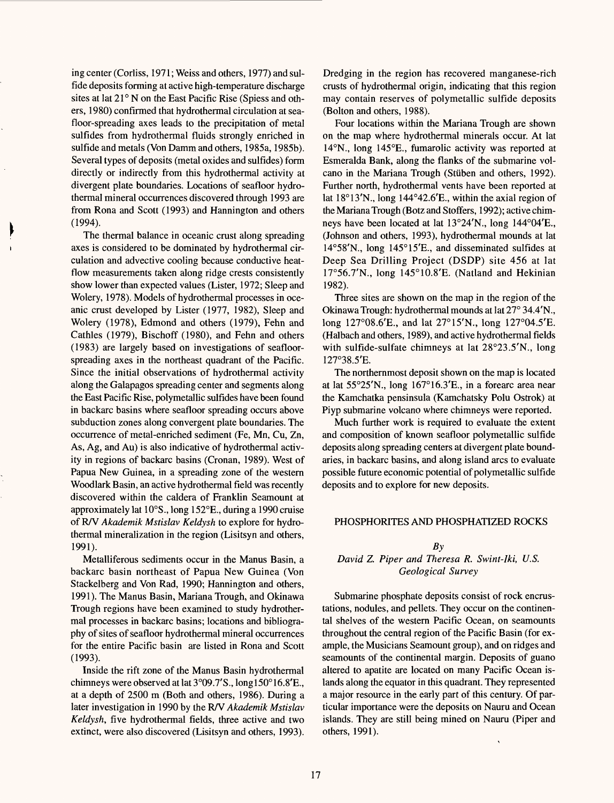ing center (Corliss, 1971; Weiss and others, 1977) and sulfide deposits forming at active high-temperature discharge sites at lat 21° N on the East Pacific Rise (Spiess and others, 1980) confirmed that hydrothermal circulation at seafloor-spreading axes leads to the precipitation of metal sulfides from hydrothermal fluids strongly enriched in sulfide and metals (Von Damm and others, 1985a, 1985b). Several types of deposits (metal oxides and sulfides) form directly or indirectly from this hydrothermal activity at divergent plate boundaries. Locations of seafloor hydrothermal mineral occurrences discovered through 1993 are from Rona and Scott (1993) and Hannington and others (1994).

The thermal balance in oceanic crust along spreading axes is considered to be dominated by hydrothermal circulation and advective cooling because conductive heatflow measurements taken along ridge crests consistently show lower than expected values (Lister, 1972; Sleep and Wolery, 1978). Models of hydrothermal processes in oceanic crust developed by Lister (1977, 1982), Sleep and Wolery (1978), Edmond and others (1979), Fehn and Cathles (1979), Bischoff (1980), and Fehn and others (1983) are largely based on investigations of seafloorspreading axes in the northeast quadrant of the Pacific. Since the initial observations of hydrothermal activity along the Galapagos spreading center and segments along the East Pacific Rise, polymetallic sulfides have been found in backarc basins where seafloor spreading occurs above subduction zones along convergent plate boundaries. The occurrence of metal-enriched sediment (Fe, Mn, Cu, Zn, As, Ag, and Au) is also indicative of hydrothermal activity in regions of backarc basins (Cronan, 1989). West of Papua New Guinea, in a spreading zone of the western Woodlark Basin, an active hydrothermal field was recently discovered within the caldera of Franklin Seamount at approximately lat 10°S., long 152°E., during a 1990 cruise of R/V *Akademik Mstislav Keldysh* to explore for hydrothermal mineralization in the region (Lisitsyn and others, 1991).

Metalliferous sediments occur in the Manus Basin, a backarc basin northeast of Papua New Guinea (Von Stackelberg and Von Rad, 1990; Hannington and others, 1991). The Manus Basin, Mariana Trough, and Okinawa Trough regions have been examined to study hydrothermal processes in backarc basins; locations and bibliography of sites of seafloor hydrothermal mineral occurrences for the entire Pacific basin are listed in Rona and Scott (1993).

Inside the rift zone of the Manus Basin hydrothermal chimneys were observed at lat  $3^{\circ}09.7^{\prime}$ S., long $150^{\circ}16.8^{\prime}$ E., at a depth of 2500 m (Both and others, 1986). During a later investigation in 1990 by the R/V *Akademik Mstislav Keldysh,* five hydrothermal fields, three active and two extinct, were also discovered (Lisitsyn and others, 1993).

Dredging in the region has recovered manganese-rich crusts of hydrothermal origin, indicating that this region may contain reserves of polymetallic sulfide deposits (Bolton and others, 1988).

Four locations within the Mariana Trough are shown on the map where hydrothermal minerals occur. At lat 14°N., long 145°E., fumarolic activity was reported at Esmeralda Bank, along the flanks of the submarine volcano in the Mariana Trough (Stiiben and others, 1992). Further north, hydrothermal vents have been reported at lat 18°13'N., long 144°42.6'E., within the axial region of the Mariana Trough (Botz and Staffers, 1992); active chimneys have been located at lat 13°24'N., long 144°04'E., (Johnson and others, 1993), hydrothermal mounds at lat 14°58'N., long 145°15'E., and disseminated sulfides at Deep Sea Drilling Project (DSDP) site 456 at lat 17°56.7'N., long 145°10.8'E. (Natland and Hekinian 1982).

Three sites are shown on the map in the region of the Okinawa Trough: hydrothermal mounds at lat 27° 34.4'N., long 127°08.6'E., and lat 27°15'N., long 127°04.5'E. (Halbach and others, 1989), and active hydrothermal fields with sulfide-sulfate chimneys at lat 28°23.5'N., long 127°38.5'E.

The northernmost deposit shown on the map is located at lat 55°25'N., long 167°16.3'E., in a forearc area near the Kamchatka pensinsula (Kamchatsky Polu Ostrok) at Piyp submarine volcano where chimneys were reported.

Much further work is required to evaluate the extent and composition of known seafloor polymetallic sulfide deposits along spreading centers at divergent plate boundaries, in backarc basins, and along island arcs to evaluate possible future economic potential of polymetallic sulfide deposits and to explore for new deposits.

#### PHOSPHORITES AND PHOSPHATIZED ROCKS

## *By David Z. Piper and Theresa R. Swint-Iki, U.S. Geological Survey*

Submarine phosphate deposits consist of rock encrustations, nodules, and pellets. They occur on the continental shelves of the western Pacific Ocean, on seamounts throughout the central region of the Pacific Basin (for example, the Musicians Seamount group), and on ridges and seamounts of the continental margin. Deposits of guano altered to apatite are located on many Pacific Ocean islands along the equator in this quadrant. They represented a major resource in the early part of this century. Of particular importance were the deposits on Nauru and Ocean islands. They are still being mined on Nauru (Piper and others, 1991).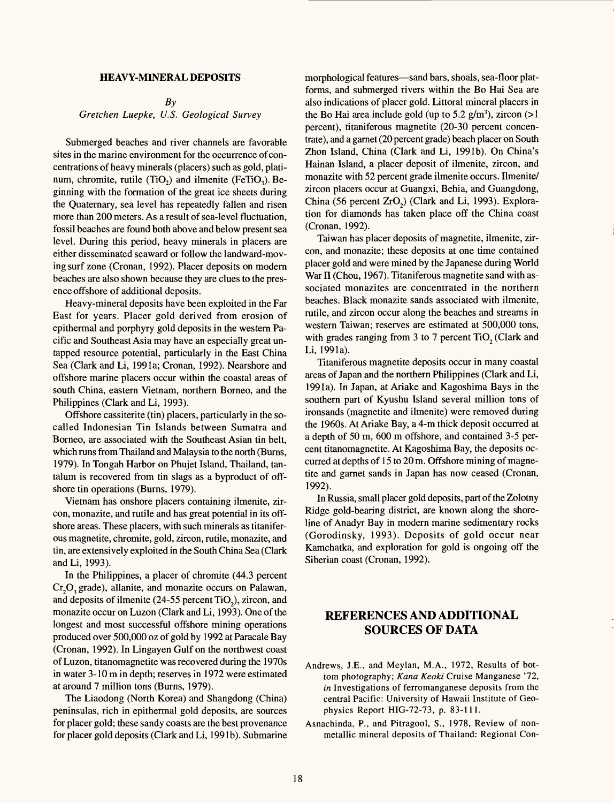#### **HEAVY-MINERAL DEPOSITS**

*By Gretchen Luepke, U.S. Geological Survey*

Submerged beaches and river channels are favorable sites in the marine environment for the occurrence of concentrations of heavy minerals (placers) such as gold, platinum, chromite, rutile (TiO<sub>2</sub>) and ilmenite (FeTiO<sub>3</sub>). Beginning with the formation of the great ice sheets during the Quaternary, sea level has repeatedly fallen and risen more than 200 meters. As a result of sea-level fluctuation, fossil beaches are found both above and below present sea level. During this period, heavy minerals in placers are either disseminated seaward or follow the landward-moving surf zone (Cronan, 1992). Placer deposits on modern beaches are also shown because they are clues to the presence off shore of additional deposits.

Heavy-mineral deposits have been exploited in the Far East for years. Placer gold derived from erosion of epithermal and porphyry gold deposits in the western Pacific and Southeast Asia may have an especially great untapped resource potential, particularly in the East China Sea (Clark and Li, 199la; Cronan, 1992). Nearshore and offshore marine placers occur within the coastal areas of south China, eastern Vietnam, northern Borneo, and the Philippines (Clark and Li, 1993).

Offshore cassiterite (tin) placers, particularly in the socalled Indonesian Tin Islands between Sumatra and Borneo, are associated with the Southeast Asian tin belt, which runs from Thailand and Malaysia to the north (Burns, 1979). In Tongah Harbor on Phujet Island, Thailand, tantalum is recovered from tin slags as a byproduct of offshore tin operations (Burns, 1979).

Vietnam has onshore placers containing ilmenite, zircon, monazite, and rutile and has great potential in its offshore areas. These placers, with such minerals as titaniferous magnetite, chromite, gold, zircon, rutile, monazite, and tin, are extensively exploited in the South China Sea (Clark and Li, 1993).

In the Philippines, a placer of chromite (44.3 percent Cr<sub>2</sub>O<sub>2</sub> grade), allanite, and monazite occurs on Palawan, and deposits of ilmenite  $(24-55$  percent TiO<sub>2</sub>), zircon, and monazite occur on Luzon (Clark and Li, 1993). One of the longest and most successful offshore mining operations produced over 500,000 oz of gold by 1992 at Paracale Bay (Cronan, 1992). In Lingayen Gulf on the northwest coast of Luzon, titanomagnetite was recovered during the 1970s in water 3-10 m in depth; reserves in 1972 were estimated at around 7 million tons (Burns, 1979).

The Liaodong (North Korea) and Shangdong (China) peninsulas, rich in epithermal gold deposits, are sources for placer gold; these sandy coasts are the best provenance for placer gold deposits (Clark and Li, 199Ib). Submarine morphological features—sand bars, shoals, sea-floor platforms, and submerged rivers within the Bo Hai Sea are also indications of placer gold. Littoral mineral placers in the Bo Hai area include gold (up to 5.2  $g/m<sup>3</sup>$ ), zircon (>1 percent), titaniferous magnetite (20-30 percent concentrate), and a garnet (20 percent grade) beach placer on South Zhon Island, China (Clark and Li, 1991b). On China's Hainan Island, a placer deposit of ilmenite, zircon, and monazite with 52 percent grade ilmenite occurs. Ilmenite/ zircon placers occur at Guangxi, Behia, and Guangdong, China (56 percent  $ZrO<sub>2</sub>$ ) (Clark and Li, 1993). Exploration for diamonds has taken place off the China coast (Cronan, 1992).

Taiwan has placer deposits of magnetite, ilmenite, zircon, and monazite; these deposits at one time contained placer gold and were mined by the Japanese during World War II (Chou, 1967). Titaniferous magnetite sand with associated monazites are concentrated in the northern beaches. Black monazite sands associated with ilmenite, rutile, and zircon occur along the beaches and streams in western Taiwan; reserves are estimated at 500,000 tons, with grades ranging from 3 to 7 percent  $TiO<sub>2</sub>$  (Clark and Li, 1991a).

Titaniferous magnetite deposits occur in many coastal areas of Japan and the northern Philippines (Clark and Li, 199la). In Japan, at Ariake and Kagoshima Bays in the southern part of Kyushu Island several million tons of ironsands (magnetite and ilmenite) were removed during the 1960s. At Ariake Bay, a 4-m thick deposit occurred at a depth of 50 m, 600 m offshore, and contained 3-5 percent titanomagnetite. At Kagoshima Bay, the deposits occurred at depths of 15 to 20 m. Offshore mining of magnetite and garnet sands in Japan has now ceased (Cronan, 1992).

In Russia, small placer gold deposits, part of the Zolotny Ridge gold-bearing district, are known along the shoreline of Anadyr Bay in modern marine sedimentary rocks (Gorodinsky, 1993). Deposits of gold occur near Kamchatka, and exploration for gold is ongoing off the Siberian coast (Cronan, 1992).

# **REFERENCES AND ADDITIONAL SOURCES OF DATA**

- Andrews, I.E., and Meylan, M.A., 1972, Results of bottom photography; *Kana Keoki* Cruise Manganese '72, *in* Investigations of ferromanganese deposits from the central Pacific: University of Hawaii Institute of Geophysics Report HIG-72-73, p. 83-111.
- Asnachinda, P., and Pitragool, S., 1978, Review of nonmetallic mineral deposits of Thailand: Regional Con-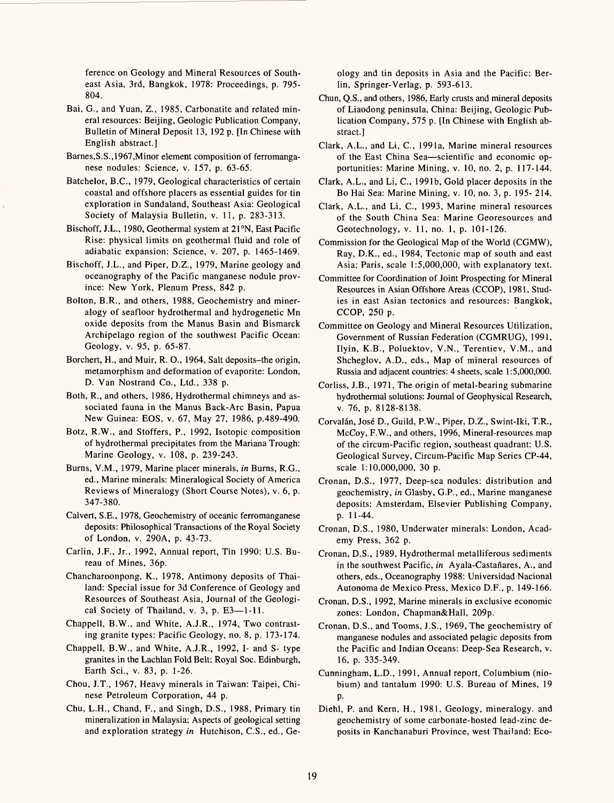ference on Geology and Mineral Resources of Southeast Asia, 3rd, Bangkok, 1978: Proceedings, p. 795- 804.

- Bai, G., and Yuan, Z., 1985, Carbonatite and related mineral resources: Beijing, Geologic Publication Company, Bulletin of Mineral Deposit 13, 192 p. [In Chinese with English abstract.]
- Barnes,S.S.,1967,Minor element composition of ferromanganese nodules: Science, v. 157, p. 63-65.
- Batchelor, B.C., 1979, Geological characteristics of certain coastal and offshore placers as essential guides for tin exploration in Sundaland, Southeast Asia: Geological Society of Malaysia Bulletin, v. 11, p. 283-313.
- Bischoff, J.L., 1980, Geothermal system at 21°N, East Pacific Rise: physical limits on geothermal fluid and role of adiabatic expansion: Science, v. 207, p. 1465-1469.
- Bischoff, J.L., and Piper, D.Z., 1979, Marine geology and oceanography of the Pacific manganese nodule province: New York, Plenum Press, 842 p.
- Bolton, B.R., and others, 1988, Geochemistry and mineralogy of seafloor hydrothermal and hydrogenetic Mn oxide deposits from the Manus Basin and Bismarck Archipelago region of the southwest Pacific Ocean: Geology, v. 95, p. 65-87.
- Borchert, H., and Muir, R. O., 1964, Salt deposits-the origin, metamorphism and deformation of evaporite: London, D. Van Nostrand Co., Ltd., 338 p.
- Both, R., and others, 1986, Hydrothermal chimneys and associated fauna in the Manus Back-Arc Basin, Papua New Guinea: EOS, v. 67, May 27, 1986, p.489-490.
- Botz, R.W., and Stoffers, P., 1992, Isotopic composition of hydrothermal precipitates from the Mariana Trough: Marine Geology, v. 108, p. 239-243.
- Burns, V.M., 1979, Marine placer minerals, *in* Burns, R.G., ed., Marine minerals: Mineralogical Society of America Reviews of Mineralogy (Short Course Notes), v. 6, p. 347-380.
- Calvert, S.E., 1978, Geochemistry of oceanic ferromanganese deposits: Philosophical Transactions of the Royal Society of London, v. 290A, p. 43-73.
- Carlin, J.F., Jr., 1992, Annual report, Tin 1990: U.S. Bureau of Mines, 36p.
- Chancharoonpong, K., 1978, Antimony deposits of Thailand: Special issue for 3d Conference of Geology and Resources of Southeast Asia, Journal of the Geological Society of Thailand, v. 3, p. E3—1-11.
- Chappell, B.W., and White, A.J.R., 1974, Two contrasting granite types: Pacific Geology, no. 8, p. 173-174.
- Chappell, B.W., and White, A.J.R., 1992, I- and S- type granites in the Lachlan Fold Belt: Royal Soc. Edinburgh, Earth Sci., v. 83, p. 1-26.
- Chou, J.T., 1967, Heavy minerals in Taiwan: Taipei, Chinese Petroleum Corporation, 44 p.
- Chu, L.H., Chand, F., and Singh, D.S., 1988, Primary tin mineralization in Malaysia; Aspects of geological setting and exploration strategy *in* Hutchison, C.S., ed., Ge-

ology and tin deposits in Asia and the Pacific: Berlin, Springer-Verlag, p. 593-613.

- Chun, Q.S., and others, 1986, Early crusts and mineral deposits of Liaodong peninsula, China: Beijing, Geologic Publication Company, 575 p. [In Chinese with English abstract.]
- Clark, A.L., and Li, C., 1991a, Marine mineral resources of the East China Sea—scientific and economic opportunities: Marine Mining, v. 10, no. 2, p. 117-144.
- Clark, A.L., and Li, C., 1991b, Gold placer deposits in the Bo Hai Sea: Marine Mining, v. 10, no. 3, p. 195- 214.
- Clark, A.L., and Li, C., 1993, Marine mineral resources of the South China Sea: Marine Georesources and Geotechnology, v. 11, no. 1, p. 101-126.
- Commission for the Geological Map of the World (CGMW), Ray, D.K., ed., 1984, Tectonic map of south and east Asia: Paris, scale 1:5,000,000, with explanatory text.
- Committee for Coordination of Joint Prospecting for Mineral Resources in Asian Offshore Areas (CCOP), 1981, Studies in east Asian tectonics and resources: Bangkok, CCOP, 250 p.
- Committee on Geology and Mineral Resources Utilization, Government of Russian Federation (CGMRUG), 1991, Ilyin, K.B., Poluektov, V.N., Terentiev, V.M., and Shcheglov, A.D., eds., Map of mineral resources of Russia and adjacent countries: 4 sheets, scale 1:5,000,000.
- Corliss, J.B., 1971, The origin of metal-bearing submarine hydrothermal solutions: Journal of Geophysical Research, v. 76, p. 8128-8138.
- Corvalán, José D., Guild, P.W., Piper, D.Z., Swint-Iki, T.R., McCoy, F.W., and others, 1996, Mineral-resources map of the circum-Pacific region, southeast quadrant: U.S. Geological Survey, Circum-Pacific Map Series CP-44, scale 1:10,000,000, 30 p.
- Cronan, D.S., 1977, Deep-sea nodules: distribution and geochemistry, *in* Glasby, G.P., ed., Marine manganese deposits: Amsterdam, Elsevier Publishing Company, p. 11-44.
- Cronan, D.S., 1980, Underwater minerals: London, Academy Press, 362 p.
- Cronan, D.S., 1989, Hydrothermal metalliferous sediments in the southwest Pacific, *in* Ayala-Castañares, A., and others, eds., Oceanography 1988: Universidad Nacional Autonoma de Mexico Press, Mexico D.F., p. 149-166.
- Cronan, D.S., 1992, Marine minerals in exclusive economic zones: London, Chapman&Hall, 209p.
- Cronan, D.S., and Tooms, J.S., 1969, The geochemistry of manganese nodules and associated pelagic deposits from the Pacific and Indian Oceans: Deep-Sea Research, v. 16, p. 335-349.
- Cunningham, L.D., 1991, Annual report, Columbium (niobium) and tantalum 1990: U.S. Bureau of Mines, 19 P-
- Diehl, P. and Kern, H., 1981, Geology, mineralogy, and geochemistry of some carbonate-hosted lead-zinc deposits in Kanchanaburi Province, west Thailand: Eco-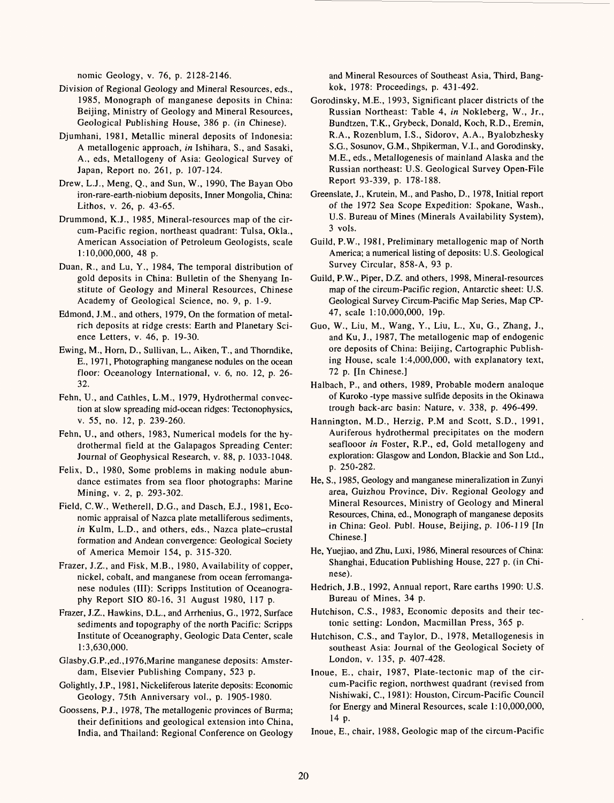nomic Geology, v. 76, p. 2128-2146.

- Division of Regional Geology and Mineral Resources, eds., 1985, Monograph of manganese deposits in China: Beijing, Ministry of Geology and Mineral Resources, Geological Publishing House, 386 p. (in Chinese).
- Djumhani, 1981, Metallic mineral deposits of Indonesia: A metallogenic approach, *in* Ishihara, S., and Sasaki, A., eds, Metallogeny of Asia: Geological Survey of Japan, Report no. 261, p. 107-124.
- Drew, L.J., Meng, Q., and Sun, W., 1990, The Bayan Obo iron-rare-earth-niobium deposits, Inner Mongolia, China: Lithos, v. 26, p. 43-65.
- Drummond, K.J., 1985, Mineral-resources map of the circum-Pacific region, northeast quadrant: Tulsa, Okla., American Association of Petroleum Geologists, scale 1:10,000,000, 48 p.
- Duan, R., and Lu, Y., 1984, The temporal distribution of gold deposits in China: Bulletin of the Shenyang Institute of Geology and Mineral Resources, Chinese Academy of Geological Science, no. 9, p. 1-9.
- Edmond, J.M., and others, 1979, On the formation of metalrich deposits at ridge crests: Earth and Planetary Science Letters, v. 46, p. 19-30.
- Ewing, M., Horn, D., Sullivan, L., Aiken, T., and Thorndike, E., 1971, Photographing manganese nodules on the ocean floor: Oceanology International, v. 6, no. 12, p. 26- 32.
- Fehn, U., and Cathles, L.M., 1979, Hydrothermal convection at slow spreading mid-ocean ridges: Tectonophysics, v. 55, no. 12, p. 239-260.
- Fehn, U., and others, 1983, Numerical models for the hydrothermal field at the Galapagos Spreading Center: Journal of Geophysical Research, v. 88, p. 1033-1048.
- Felix, D., 1980, Some problems in making nodule abundance estimates from sea floor photographs: Marine Mining, v. 2, p. 293-302.
- Field, C.W., Wetherell, D.G., and Dasch, E.J., 1981, Economic appraisal of Nazca plate metalliferous sediments, *in* Kulm, L.D., and others, eds., Nazca plate-crustal formation and Andean convergence: Geological Society of America Memoir 154, p. 315-320.
- Frazer, J.Z., and Fisk, M.B., 1980, Availability of copper, nickel, cobalt, and manganese from ocean ferromanganese nodules (III): Scripps Institution of Oceanography Report SIO 80-16, 31 August 1980, 117 p.
- Frazer, J.Z., Hawkins, D.L., and Arrhenius, G., 1972, Surface sediments and topography of the north Pacific: Scripps Institute of Oceanography, Geologic Data Center, scale 1:3,630,000.
- Glasby,G.P.,ed.,1976,Marine manganese deposits: Amsterdam, Elsevier Publishing Company, 523 p.
- Golightly, J.P., 1981, Nickeliferous laterite deposits: Economic Geology, 75th Anniversary vol., p. 1905-1980.
- Goossens, P.J., 1978, The metallogenic provinces of Burma; their definitions and geological extension into China, India, and Thailand: Regional Conference on Geology

and Mineral Resources of Southeast Asia, Third, Bangkok, 1978: Proceedings, p. 431-492.

- Gorodinsky, M.E., 1993, Significant placer districts of the Russian Northeast: Table 4, *in* Nokleberg, W., Jr., Bundtzen, T.K., Grybeck, Donald, Koch, R.D., Eremin, R.A., Rozenblum, I.S., Sidorov, A.A., Byalobzhesky S.G., Sosunov, G.M., Shpikerman, V.I., and Gorodinsky, M.E., eds., Metallogenesis of mainland Alaska and the Russian northeast: U.S. Geological Survey Open-File Report 93-339, p. 178-188.
- Greenslate, J., Krutein, M., and Pasho, D., 1978, Initial report of the 1972 Sea Scope Expedition: Spokane, Wash., U.S. Bureau of Mines (Minerals Availability System), 3 vols.
- Guild, P.W., 1981, Preliminary metallogenic map of North America; a numerical listing of deposits: U.S. Geological Survey Circular, 858-A, 93 p.
- Guild, P.W., Piper, D.Z. and others, 1998, Mineral-resources map of the circum-Pacific region, Antarctic sheet: U.S. Geological Survey Circum-Pacific Map Series, Map CP-47, scale 1:10,000,000, 19p.
- Guo, W., Liu, M., Wang, Y., Liu, L., Xu, G., Zhang, J., and Ku, J., 1987, The metallogenic map of endogenic ore deposits of China: Beijing, Cartographic Publishing House, scale 1:4,000,000, with explanatory text, 72 p. [In Chinese.]
- Halbach, P., and others, 1989, Probable modern analoque of Kuroko -type massive sulfide deposits in the Okinawa trough back-arc basin: Nature, v. 338, p. 496-499.
- Hannington, M.D., Herzig, P.M and Scott, S.D., 1991, Auriferous hydrothermal precipitates on the modern seaflooor *in* Foster, R.P., ed, Gold metallogeny and exploration: Glasgow and London, Blackie and Son Ltd., p. 250-282.
- He, S., 1985, Geology and manganese mineralization in Zunyi area, Guizhou Province, Div. Regional Geology and Mineral Resources, Ministry of Geology and Mineral Resources, China, ed., Monograph of manganese deposits in China: Geol. Publ. House, Beijing, p. 106-119 [In Chinese.]
- He, Yuejiao, and Zhu, Luxi, 1986, Mineral resources of China: Shanghai, Education Publishing House, 227 p. (in Chinese).
- Hedrich, J.B., 1992, Annual report, Rare earths 1990: U.S. Bureau of Mines, 34 p.
- Hutchison, C.S., 1983, Economic deposits and their tectonic setting: London, Macmillan Press, 365 p.
- Hutchison, C.S., and Taylor, D., 1978, Metallogenesis in southeast Asia: Journal of the Geological Society of London, v. 135, p. 407-428.
- Inoue, E., chair, 1987, Plate-tectonic map of the circum-Pacific region, northwest quadrant (revised from Nishiwaki, C., 1981): Houston, Circum-Pacific Council for Energy and Mineral Resources, scale 1:10,000,000, 14 p.
- Inoue, E., chair, 1988, Geologic map of the circum-Pacific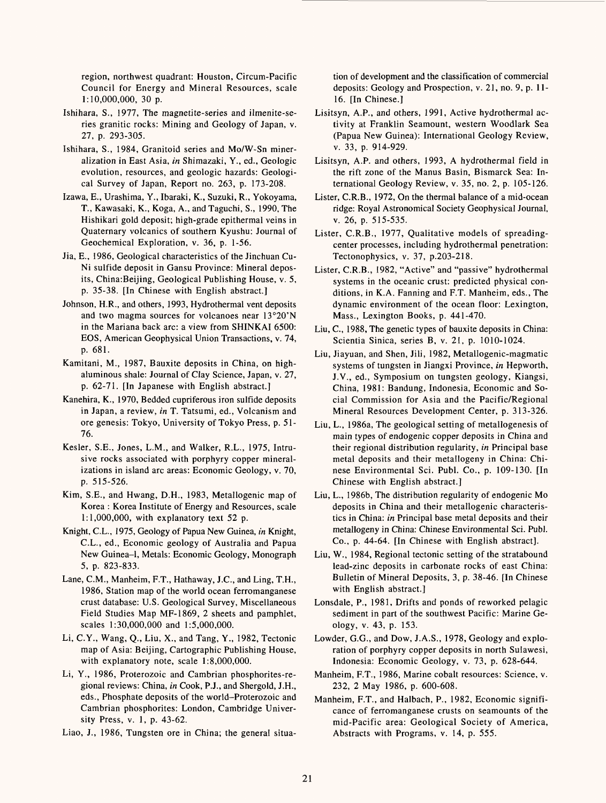region, northwest quadrant: Houston, Circum-Pacific Council for Energy and Mineral Resources, scale 1:10,000,000, 30 p.

- Ishihara, S., 1977, The magnetite-series and ilmenite-series granitic rocks: Mining and Geology of Japan, v. 27, p. 293-305.
- Ishihara, S., 1984, Granitoid series and Mo/W-Sn mineralization in East Asia, *in* Shimazaki, Y., ed., Geologic evolution, resources, and geologic hazards: Geological Survey of Japan, Report no. 263, p. 173-208.
- Izawa, E., Urashima, Y., Ibaraki, K., Suzuki, R., Yokoyama, T., Kawasaki, K., Koga, A., and Taguchi, S., 1990, The Hishikari gold deposit; high-grade epithermal veins in Quaternary volcanics of southern Kyushu: Journal of Geochemical Exploration, v. 36, p. 1-56.
- Jia, E., 1986, Geological characteristics of the Jinchuan Cu-Ni sulfide deposit in Gansu Province: Mineral deposits, China:Beijing, Geological Publishing House, v. 5, p. 35-38. [In Chinese with English abstract.]
- Johnson, H.R., and others, 1993, Hydrothermal vent deposits and two magma sources for volcanoes near 13°20'N in the Mariana back arc: a view from SHINKAI 6500: EOS, American Geophysical Union Transactions, v. 74, p. 681.
- Kamitani, M., 1987, Bauxite deposits in China, on highaluminous shale: Journal of Clay Science, Japan, v. 27, p. 62-71. [In Japanese with English abstract.]
- Kanehira, K., 1970, Bedded cupriferous iron sulfide deposits in Japan, a review, *in* T. Tatsumi, ed., Volcanism and ore genesis: Tokyo, University of Tokyo Press, p. SI-76.
- Kesler, S.E., Jones, L.M., and Walker, R.L., 1975, Intrusive rocks associated with porphyry copper mineralizations in island arc areas: Economic Geology, v. 70, p. 515-526.
- Kim, S.E., and Hwang, D.H., 1983, Metallogenic map of Korea : Korea Institute of Energy and Resources, scale 1:1,000,000, with explanatory text 52 p.
- Knight, C.L., 1975, Geology of Papua New Guinea, *in* Knight, C.L., ed., Economic geology of Australia and Papua New Guinea-1, Metals: Economic Geology, Monograph 5, p. 823-833.
- Lane, C.M., Manheim, F.T., Hathaway, J.C., and Ling, T.H., 1986, Station map of the world ocean ferromanganese crust database: U.S. Geological Survey, Miscellaneous Field Studies Map MF-1869, 2 sheets and pamphlet, scales 1:30,000,000 and 1:5,000,000.
- Li, C.Y., Wang, Q., Liu, X., and Tang, Y., 1982, Tectonic map of Asia: Beijing, Cartographic Publishing House, with explanatory note, scale 1:8,000,000.
- Li, Y., 1986, Proterozoic and Cambrian phosphorites-regional reviews: China, *in* Cook, P.J., and Shergold, J.H., eds., Phosphate deposits of the world-Proterozoic and Cambrian phosphorites: London, Cambridge University Press, v. 1, p. 43-62.
- Liao, J., 1986, Tungsten ore in China; the general situa-

tion of development and the classification of commercial deposits: Geology and Prospection, v. 21, no. 9, p. 11- 16. [In Chinese.]

- Lisitsyn, A.P., and others, 1991, Active hydrothermal activity at Franklin Seamount, western Woodlark Sea (Papua New Guinea): International Geology Review, v. 33, p. 914-929.
- Lisitsyn, A.P. and others, 1993, A hydrothermal field in the rift zone of the Manus Basin, Bismarck Sea: International Geology Review, v. 35, no. 2, p. 105-126.
- Lister, C.R.B., 1972, On the thermal balance of a mid-ocean ridge: Royal Astronomical Society Geophysical Journal, v. 26, p. 515-535.
- Lister, C.R.B., 1977, Qualitative models of spreadingcenter processes, including hydrothermal penetration: Tectonophysics, v. 37, p.203-218.
- Lister, C.R.B., 1982, "Active" and "passive" hydrothermal systems in the oceanic crust: predicted physical conditions, in K.A. Fanning and F.T. Manheim, eds., The dynamic environment of the ocean floor: Lexington, Mass., Lexington Books, p. 441-470.
- Liu, C, 1988, The genetic types of bauxite deposits in China: Scientia Sinica, series B, v. 21, p. 1010-1024.
- Liu, Jiayuan, and Shen, Jili, 1982, Metallogenic-magmatic systems of tungsten in Jiangxi Province, *in* Hepworth, J.V., ed., Symposium on tungsten geology, Kiangsi, China, 1981: Bandung, Indonesia, Economic and Social Commission for Asia and the Pacific/Regional Mineral Resources Development Center, p. 313-326.
- Liu, L., 1986a, The geological setting of metallogenesis of main types of endogenic copper deposits in China and their regional distribution regularity, *in* Principal base metal deposits and their metallogeny in China: Chinese Environmental Sci. Publ. Co., p. 109-130. [In Chinese with English abstract.]
- Liu, L., 1986b, The distribution regularity of endogenic Mo deposits in China and their metallogenic characteristics in China: *in* Principal base metal deposits and their metallogeny in China: Chinese Environmental Sci. Publ. Co., p. 44-64. [In Chinese with English abstract].
- Liu, W., 1984, Regional tectonic setting of the stratabound lead-zinc deposits in carbonate rocks of east China: Bulletin of Mineral Deposits, 3, p. 38-46. [In Chinese with English abstract.]
- Lonsdale, P., 1981, Drifts and ponds of reworked pelagic sediment in part of the southwest Pacific: Marine Geology, v. 43, p. 153.
- Lowder, G.G., and Dow, J.A.S., 1978, Geology and exploration of porphyry copper deposits in north Sulawesi, Indonesia: Economic Geology, v. 73, p. 628-644.
- Manheim, F.T., 1986, Marine cobalt resources: Science, v. 232, 2 May 1986, p. 600-608.
- Manheim, F.T., and Halbach, P., 1982, Economic significance of ferromanganese crusts on seamounts of the mid-Pacific area: Geological Society of America, Abstracts with Programs, v. 14, p. 555.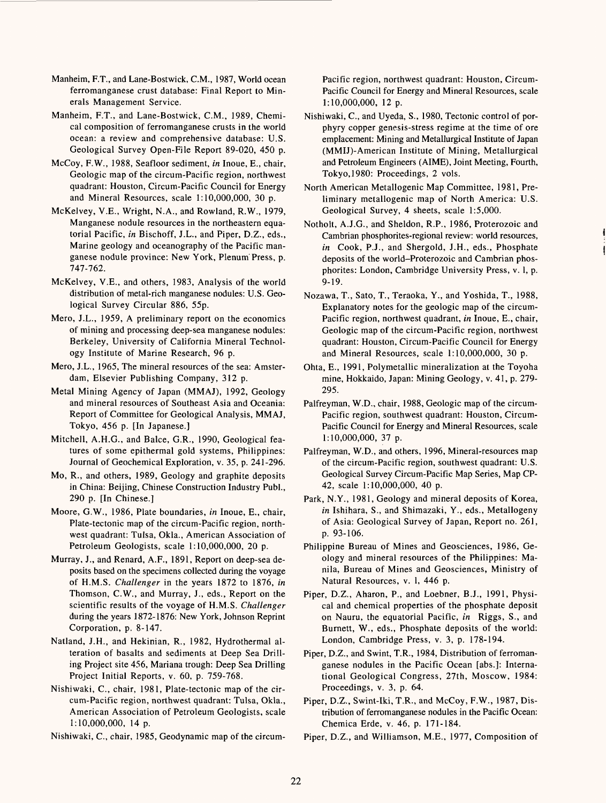- Manheim, F.T., and Lane-Bostwick, C.M., 1987, World ocean ferromanganese crust database: Final Report to Minerals Management Service.
- Manheim, F.T., and Lane-Bostwick, C.M., 1989, Chemical composition of ferromanganese crusts in the world ocean: a review and comprehensive database: U.S. Geological Survey Open-File Report 89-020, 450 p.
- McCoy, F.W., 1988, Seafloor sediment, *in* Inoue, E., chair, Geologic map of the circum-Pacific region, northwest quadrant: Houston, Circum-Pacific Council for Energy and Mineral Resources, scale 1:10,000,000, 30 p.
- McKelvey, V.E., Wright, N.A., and Rowland, R.W., 1979, Manganese nodule resources in the northeastern equatorial Pacific, *in* Bischoff, J.L., and Piper, D.Z., eds., Marine geology and oceanography of the Pacific manganese nodule province: New York, Plenum"Press, p. 747-762.
- McKelvey, V.E., and others, 1983, Analysis of the world distribution of metal-rich manganese nodules: U.S. Geological Survey Circular 886, 55p.
- Mero, J.L., 1959, A preliminary report on the economics of mining and processing deep-sea manganese nodules: Berkeley, University of California Mineral Technology Institute of Marine Research, 96 p.
- Mero, J.L., 1965, The mineral resources of the sea: Amsterdam, Elsevier Publishing Company, 312 p.
- Metal Mining Agency of Japan (MMAJ), 1992, Geology and mineral resources of Southeast Asia and Oceania: Report of Committee for Geological Analysis, MMAJ, Tokyo, 456 p. [In Japanese.]
- Mitchell, A.H.G., and Balce, G.R., 1990, Geological features of some epithermal gold systems, Philippines: Journal of Geochemical Exploration, v. 35, p. 241-296.
- Mo, R., and others, 1989, Geology and graphite deposits in China: Beijing, Chinese Construction Industry Publ., 290 p. [In Chinese.]
- Moore, G.W., 1986, Plate boundaries, *in* Inoue, E., chair, Plate-tectonic map of the circum-Pacific region, northwest quadrant: Tulsa, Okla., American Association of Petroleum Geologists, scale 1:10,000,000, 20 p.
- Murray, J., and Renard, A.F., 1891, Report on deep-sea deposits based on the specimens collected during the voyage of H.M.S. *Challenger* in the years 1872 to 1876, *in*  Thomson, C.W., and Murray, J., eds., Report on the scientific results of the voyage of H.M.S. *Challenger*  during the years 1872-1876: New York, Johnson Reprint Corporation, p. 8-147.
- Natland, J.H., and Hekinian, R., 1982, Hydrothermal alteration of basalts and sediments at Deep Sea Drilling Project site 456, Mariana trough: Deep Sea Drilling Project Initial Reports, v. 60, p. 759-768.
- Nishiwaki, C., chair, 1981, Plate-tectonic map of the circum-Pacific region, northwest quadrant: Tulsa, Okla., American Association of Petroleum Geologists, scale 1:10,000,000, 14 p.

Nishiwaki, C., chair, 1985, Geodynamic map of the circum-

Pacific region, northwest quadrant: Houston, Circum-Pacific Council for Energy and Mineral Resources, scale 1:10,000,000, 12 p.

- Nishiwaki, C., and Uyeda, S., 1980, Tectonic control of porphyry copper genesis-stress regime at the time of ore emplacement: Mining and Metallurgical Institute of Japan (MMIJ)-American Institute of Mining, Metallurgical and Petroleum Engineers (AIME), Joint Meeting, Fourth, Tokyo, 1980: Proceedings, 2 vols.
- North American Metallogenic Map Committee, 1981, Preliminary metallogenic map of North America: U.S. Geological Survey, 4 sheets, scale 1:5,000.
- Notholt, A.J.G., and Sheldon, R.P., 1986, Proterozoic and Cambrian phosphorites-regional review: world resources, *in* Cook, P.J., and Shergold, J.H., eds., Phosphate deposits of the world-Proterozoic and Cambrian phosphorites: London, Cambridge University Press, v. 1, p. 9-19.
- Nozawa, T., Sato, T., Teraoka, Y., and Yoshida, T., 1988, Explanatory notes for the geologic map of the circum-Pacific region, northwest quadrant, *in* Inoue, E., chair, Geologic map of the circum-Pacific region, northwest quadrant: Houston, Circum-Pacific Council for Energy and Mineral Resources, scale 1:10,000,000, 30 p.
- Ohta, E., 1991, Polymetallic mineralization at the Toyoha mine, Hokkaido, Japan: Mining Geology, v. 41, p. 279- 295.
- Palfreyman, W.D., chair, 1988, Geologic map of the circum-Pacific region, southwest quadrant: Houston, Circum-Pacific Council for Energy and Mineral Resources, scale 1:10,000,000, 37 p.
- Palfreyman, W.D., and others, 1996, Mineral-resources map of the circum-Pacific region, southwest quadrant: U.S. Geological Survey Circum-Pacific Map Series, Map CP-42, scale 1:10,000,000, 40 p.
- Park, N.Y., 1981, Geology and mineral deposits of Korea, *in* Ishihara, S., and Shimazaki, Y., eds., Metallogeny of Asia: Geological Survey of Japan, Report no. 261, p. 93-106.
- Philippine Bureau of Mines and Geosciences, 1986, Geology and mineral resources of the Philippines: Manila, Bureau of Mines and Geosciences, Ministry of Natural Resources, v. 1, 446 p.
- Piper, D.Z., Aharon, P., and Loebner, B.J., 1991, Physical and chemical properties of the phosphate deposit on Nauru, the equatorial Pacific, *in* Riggs, S., and Burnett, W., eds., Phosphate deposits of the world: London, Cambridge Press, v. 3, p. 178-194.
- Piper, D.Z., and Swint, T.R., 1984, Distribution of ferromanganese nodules in the Pacific Ocean [abs.]: International Geological Congress, 27th, Moscow, 1984: Proceedings, v. 3, p. 64.
- Piper, D.Z., Swint-Iki, T.R., and McCoy, F.W., 1987, Distribution of ferromanganese nodules in the Pacific Ocean: Chemica Erde, v. 46, p. 171-184.
- Piper, D.Z., and Williamson, M.E., 1977, Composition of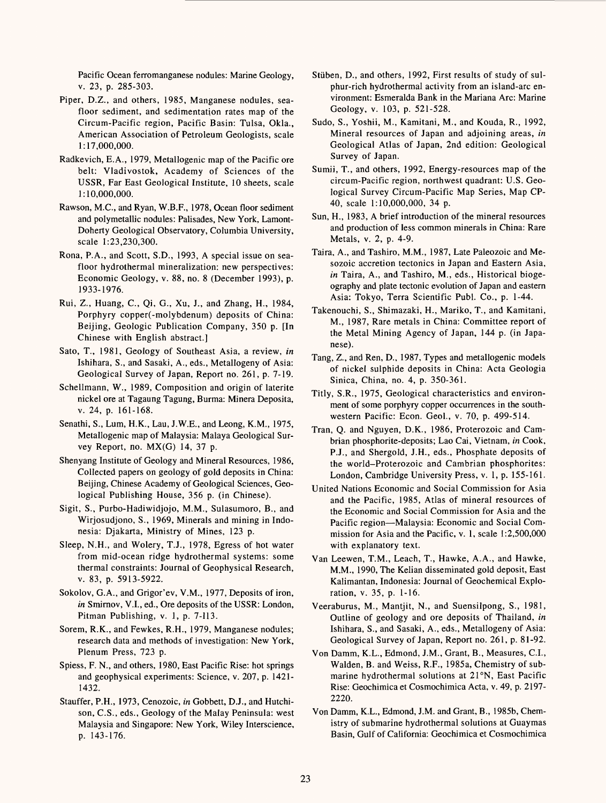Pacific Ocean ferromanganese nodules: Marine Geology, v. 23, p. 285-303.

- Piper, D.Z., and others, 1985, Manganese nodules, seafloor sediment, and sedimentation rates map of the Circum-Pacific region, Pacific Basin: Tulsa, Okla., American Association of Petroleum Geologists, scale 1:17,000,000.
- Radkevich, E.A., 1979, Metallogenic map of the Pacific ore belt: Vladivostok, Academy of Sciences of the USSR, Far East Geological Institute, 10 sheets, scale 1:10,000,000.
- Rawson, M.C., and Ryan, W.B.F., 1978, Ocean floor sediment and polymetallic nodules: Palisades, New York, Lamont-Doherty Geological Observatory, Columbia University, scale 1:23,230,300.
- Rona, P.A., and Scott, S.D., 1993, A special issue on seafloor hydrothermal mineralization: new perspectives: Economic Geology, v. 88, no. 8 (December 1993), p. 1933-1976.
- Rui, Z., Huang, C., Qi, G., Xu, J., and Zhang, H., 1984, Porphyry copper(-molybdenum) deposits of China: Beijing, Geologic Publication Company, 350 p. [In Chinese with English abstract.]
- Sato, T., 1981, Geology of Southeast Asia, a review, *in*  Ishihara, S., and Sasaki, A., eds., Metallogeny of Asia: Geological Survey of Japan, Report no. 261, p. 7-19.
- Schellmann, W., 1989, Composition and origin of laterite nickel ore at Tagaung Tagung, Burma: Minera Deposita, v. 24, p. 161-168.
- Senathi, S., Lum, H.K., Lau, J.W.E., and Leong, K.M., 1975, Metallogenic map of Malaysia: Malaya Geological Survey Report, no. MX(G) 14, 37 p.
- Shenyang Institute of Geology and Mineral Resources, 1986, Collected papers on geology of gold deposits in China: Beijing, Chinese Academy of Geological Sciences, Geological Publishing House, 356 p. (in Chinese).
- Sigit, S., Purbo-Hadiwidjojo, M.M., Sulasumoro, B., and Wirjosudjono, S., 1969, Minerals and mining in Indonesia: Djakarta, Ministry of Mines, 123 p.
- Sleep, N.H., and Wolery, T.J., 1978, Egress of hot water from mid-ocean ridge hydrothermal systems: some thermal constraints: Journal of Geophysical Research, v. 83, p. 5913-5922.
- Sokolov, G.A., and Grigor'ev, V.M., 1977, Deposits of iron, *in* Smirnov, V.I., ed., Ore deposits of the USSR: London, Pitman Publishing, v. 1, p. 7-113.
- Sorem, R.K., and Fewkes, R.H., 1979, Manganese nodules; research data and methods of investigation: New York, Plenum Press, 723 p.
- Spiess, F. N., and others, 1980, East Pacific Rise: hot springs and geophysical experiments: Science, v. 207, p. 1421- 1432.
- Stauffer, P.H., 1973, Cenozoic, *in* Gobbett, D.J., and Hutchison, C.S., eds., Geology of the Malay Peninsula: west Malaysia and Singapore: New York, Wiley Interscience, p. 143-176.
- Stiiben, D., and others, 1992, First results of study of sulphur-rich hydrothermal activity from an island-arc environment: Esmeralda Bank in the Mariana Arc: Marine Geology, v. 103, p. 521-528.
- Sudo, S., Yoshii, M., Kamitani, M., and Kouda, R., 1992, Mineral resources of Japan and adjoining areas, *in*  Geological Atlas of Japan, 2nd edition: Geological Survey of Japan.
- Sumii, T., and others, 1992, Energy-resources map of the circum-Pacific region, northwest quadrant: U.S. Geological Survey Circum-Pacific Map Series, Map CP-40, scale 1:10,000,000, 34 p.
- Sun, H., 1983, A brief introduction of the mineral resources and production of less common minerals in China: Rare Metals, v. 2, p. 4-9.
- Taira, A., and Tashiro, M.M., 1987, Late Paleozoic and Mesozoic accretion tectonics in Japan and Eastern Asia, *in* Taira, A., and Tashiro, M., eds., Historical biogeography and plate tectonic evolution of Japan and eastern Asia: Tokyo, Terra Scientific Publ. Co., p. 1-44.
- Takenouchi, S., Shimazaki, H., Mariko, T., and Kamitani, M., 1987, Rare metals in China: Committee report of the Metal Mining Agency of Japan, 144 p. (in Japanese).
- Tang, Z., and Ren, D., 1987, Types and metallogenic models of nickel sulphide deposits in China: Acta Geologia Sinica, China, no. 4, p. 350-361.
- Titly, S.R., 1975, Geological characteristics and environment of some porphyry copper occurrences in the southwestern Pacific: Econ. Geol., v. 70, p. 499-514.
- Tran, Q. and Nguyen, D.K., 1986, Proterozoic and Cambrian phosphorite-deposits; Lao Cai, Vietnam, *in* Cook, P.J., and Shergold, J.H., eds., Phosphate deposits of the world-Proterozoic and Cambrian phosphorites: London, Cambridge University Press, v. 1, p. 155-161.
- United Nations Economic and Social Commission for Asia and the Pacific, 1985, Atlas of mineral resources of the Economic and Social Commission for Asia and the Pacific region—Malaysia: Economic and Social Commission for Asia and the Pacific, v. 1, scale 1:2,500,000 with explanatory text.
- Van Leewen, T.M., Leach, T., Hawke, A.A., and Hawke, M.M., 1990, The Kelian disseminated gold deposit, East Kalimantan, Indonesia: Journal of Geochemical Exploration, v. 35, p. 1-16.
- Veeraburus, M., Mantjit, N., and Suensilpong, S., 1981, Outline of geology and ore deposits of Thailand, *in*  Ishihara, S., and Sasaki, A., eds., Metallogeny of Asia: Geological Survey of Japan, Report no. 261, p. 81-92.
- Von Damm, K.L., Edmond, J.M., Grant, B., Measures, C.I., Walden, B. and Weiss, R.F., 1985a, Chemistry of submarine hydrothermal solutions at 21°N, East Pacific Rise: Geochimica et Cosmochimica Acta, v. 49, p. 2197- 2220.
- Von Damm, K.L., Edmond, J.M. and Grant, B., 1985b, Chemistry of submarine hydrothermal solutions at Guaymas Basin, Gulf of California: Geochimica et Cosmochimica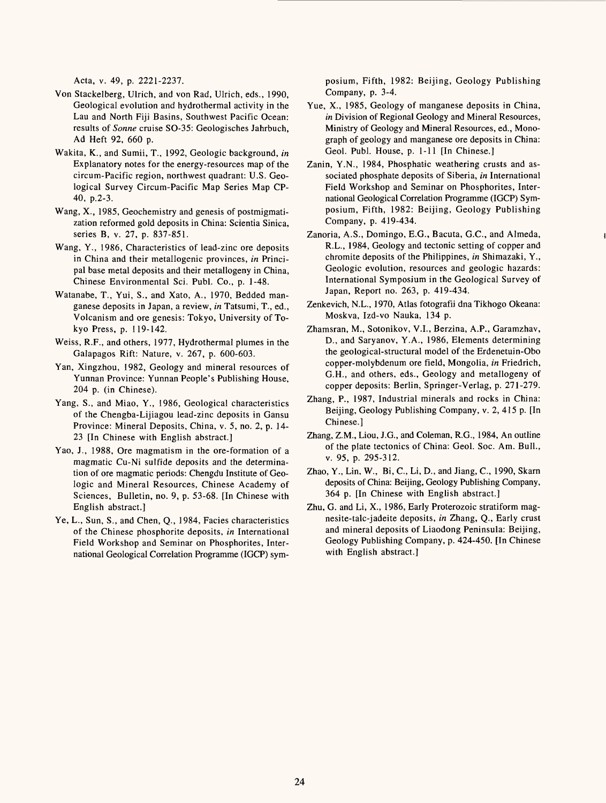Acta, v. 49, p. 2221-2237.

- Von Stackelberg, Ulrich, and von Rad, Ulrich, eds., 1990, Geological evolution and hydrothermal activity in the Lau and North Fiji Basins, Southwest Pacific Ocean: results of *Sonne* cruise SO-35: Geologisches Jahrbuch, Ad Heft 92, 660 p.
- Wakita, K., and Sumii, T., 1992, Geologic background, *in*  Explanatory notes for the energy-resources map of the circum-Pacific region, northwest quadrant: U.S. Geological Survey Circum-Pacific Map Series Map CP-40, p.2-3.
- Wang, X., 1985, Geochemistry and genesis of postmigmatization reformed gold deposits in China: Scientia Sinica, series B, v. 27, p. 837-851.
- Wang, Y., 1986, Characteristics of lead-zinc ore deposits in China and their metallogenic provinces, *in* Principal base metal deposits and their metallogeny in China, Chinese Environmental Sci. Publ. Co., p. 1-48.
- Watanabe, T., Yui, S., and Xato, A., 1970, Bedded manganese deposits in Japan, a review, *in* Tatsumi, T., ed., Volcanism and ore genesis: Tokyo, University of Tokyo Press, p. 119-142.
- Weiss, R.F., and others, 1977, Hydrothermal plumes in the Galapagos Rift: Nature, v. 267, p. 600-603.
- Yan, Xingzhou, 1982, Geology and mineral resources of Yunnan Province: Yunnan People's Publishing House, 204 p. (in Chinese).
- Yang, S., and Miao, Y., 1986, Geological characteristics of the Chengba-Lijiagou lead-zinc deposits in Gansu Province: Mineral Deposits, China, v. 5, no. 2, p. 14- 23 [In Chinese with English abstract.]
- Yao, J., 1988, Ore magmatism in the ore-formation of a magmatic Cu-Ni sulfide deposits and the determination of ore magmatic periods: Chengdu Institute of Geologic and Mineral Resources, Chinese Academy of Sciences, Bulletin, no. 9, p. 53-68. [In Chinese with English abstract.]
- Ye, L., Sun, S., and Chen, Q., 1984, Facies characteristics of the Chinese phosphorite deposits, *in* International Field Workshop and Seminar on Phosphorites, International Geological Correlation Programme (IGCP) sym-

posium, Fifth, 1982: Beijing, Geology Publishing Company, p. 3-4.

- Yue, X., 1985, Geology of manganese deposits in China, *in* Division of Regional Geology and Mineral Resources, Ministry of Geology and Mineral Resources, ed., Monograph of geology and manganese ore deposits in China: Geol. Publ. House, p. 1-11 [In Chinese.]
- Zanin, Y.N., 1984, Phosphatic weathering crusts and associated phosphate deposits of Siberia, *in* International Field Workshop and Seminar on Phosphorites, International Geological Correlation Programme (IGCP) Symposium, Fifth, 1982: Beijing, Geology Publishing Company, p. 419-434.
- Zanoria, A.S., Domingo, E.G., Bacuta, G.C., and Almeda, R.L., 1984, Geology and tectonic setting of copper and chromite deposits of the Philippines, *in* Shimazaki, Y., Geologic evolution, resources and geologic hazards: International Symposium in the Geological Survey of Japan, Report no. 263, p. 419-434.
- Zenkevich, N.L., 1970, Atlas fotografii dna Tikhogo Okeana: Moskva, Izd-vo Nauka, 134 p.
- Zhamsran, M., Sotonikov, V.I., Berzina, A.P., Garamzhav, D., and Saryanov, Y.A., 1986, Elements determining the geological-structural model of the Erdenetuin-Obo copper-molybdenum ore field, Mongolia, *in* Friedrich, G.H., and others, eds., Geology and metallogeny of copper deposits: Berlin, Springer-Verlag, p. 271-279.
- Zhang, P., 1987, Industrial minerals and rocks in China: Beijing, Geology Publishing Company, v. 2, 415 p. [In Chinese.]
- Zhang, Z.M., Liou, J.G., and Coleman, R.G., 1984, An outline of the plate tectonics of China: Geol. Soc. Am. Bull., v. 95, p. 295-312.
- Zhao, Y., Lin, W., Bi, C., Li, D., and Jiang, C., 1990, Skarn deposits of China: Beijing, Geology Publishing Company, 364 p. [In Chinese with English abstract.]
- Zhu, G. and Li, X., 1986, Early Proterozoic stratiform magnesite-talc-jadeite deposits, *in* Zhang, Q., Early crust and mineral deposits of Liaodong Peninsula: Beijing, Geology Publishing Company, p. 424-450. [In Chinese with English abstract.]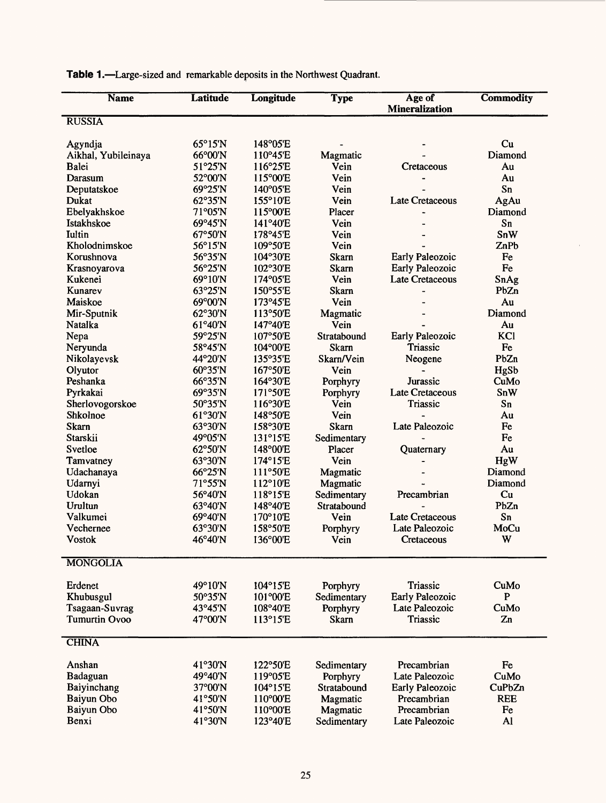| <b>Name</b>          | <b>Latitude</b>          | <b>Longitude</b>  | <b>Type</b>  | Age of                 | <b>Commodity</b> |
|----------------------|--------------------------|-------------------|--------------|------------------------|------------------|
|                      |                          |                   |              | <b>Mineralization</b>  |                  |
| <b>RUSSIA</b>        |                          |                   |              |                        |                  |
|                      |                          |                   |              |                        |                  |
| Agyndja              | 65°15'N                  | 148°05'E          |              |                        | Cu               |
| Aikhal, Yubileinaya  | 66°00'N                  | 110°45'E          | Magmatic     |                        | Diamond          |
| Balei                | 51°25'N                  | 116°25'E          | Vein         | Cretaceous             | Au               |
| Darasum              | 52°00'N                  | 115°00'E          | Vein         |                        | Au               |
| Deputatskoe          | 69°25'N                  | 140°05'E          | Vein         |                        | Sn               |
| Dukat                | 62°35'N                  | 155°10'E          | Vein         | Late Cretaceous        | AgAu             |
| Ebelyakhskoe         | 71°05'N                  | 115°00'E          | Placer       |                        | Diamond          |
| Istakhskoe           | 69°45'N                  | 141°40'E          | Vein         |                        | Sn               |
| <b>Iultin</b>        | 67°50'N                  | 178°45'E          | Vein         |                        | SnW              |
| Kholodnimskoe        | 56°15'N                  | 109°50'E          | Vein         |                        | ZnPb             |
| Korushnova           | 56°35'N                  | 104°30'E          | Skarn        | Early Paleozoic        | Fe               |
| Krasnoyarova         | 56°25'N                  | 102°30'E          | Skarn        | Early Paleozoic        | Fe               |
| Kukenei              | 69°10'N                  | $174^{\circ}05'E$ | Vein         | Late Cretaceous        | SnAg             |
| Kunarev              | 63°25'N                  | 150°55'E          | <b>Skarn</b> |                        | PbZn             |
| Maiskoe              | 69°00'N                  | 173°45'E          | Vein         |                        | Au               |
| Mir-Sputnik          | 62°30'N                  | 113°50'E          | Magmatic     |                        | Diamond          |
| Natalka              | $61^{\circ}40^{\prime}N$ | 147°40'E          | Vein         |                        | Au               |
| Nepa                 | 59°25'N                  | 107°50'E          | Stratabound  | Early Paleozoic        | KCI              |
| Neryunda             | 58°45'N                  | 104°00'E          | <b>Skarn</b> | Triassic               | Fe               |
| Nikolayevsk          | 44°20'N                  | 135°35'E          | Skarn/Vein   | Neogene                | PbZn             |
| Olyutor              | 60°35'N                  | 167°50'E          | Vein         |                        | HgSb             |
| Peshanka             | 66°35'N                  | 164°30'E          | Porphyry     | Jurassic               | CuMo             |
| Pyrkakai             | 69°35'N                  | 171°50'E          | Porphyry     | Late Cretaceous        | SnW              |
| Sherlovogorskoe      | 50°35'N                  | 116°30'E          | Vein         | Triassic               | $S_{n}$          |
| Shkolnoe             | 61°30'N                  | 148°50'E          | Vein         |                        | Au               |
| Skarn                | 63°30'N                  | 158°30'E          | <b>Skarn</b> | Late Paleozoic         | Fe               |
| <b>Starskii</b>      | 49°05'N                  | 131°15'E          | Sedimentary  |                        | Fe               |
| Svetloe              | 62°50'N                  | 148°00'E          | Placer       | Quaternary             | Au               |
| Tamvatney            | 63°30'N                  | $174^{\circ}15'E$ | Vein         |                        | HgW              |
| Udachanaya           | 66°25'N                  | 111°50'E          | Magmatic     |                        | Diamond          |
| Udarnyi              | 71°55'N                  | 112°10'E          | Magmatic     |                        | Diamond          |
| Udokan               | 56°40'N                  | 118°15'E          | Sedimentary  | Precambrian            | Cu               |
| Urultun              | 63°40'N                  | 148°40'E          | Stratabound  |                        | PbZn             |
| Valkumei             | 69°40'N                  | 170°10'E          | Vein         | <b>Late Cretaceous</b> | S <sub>n</sub>   |
| Vechernee            | 63°30'N                  | 158°50'E          | Porphyry     | Late Paleozoic         | MoCu             |
| <b>Vostok</b>        | 46°40'N                  | 136°00'E          | Vein         | Cretaceous             | W                |
|                      |                          |                   |              |                        |                  |
| <b>MONGOLIA</b>      |                          |                   |              |                        |                  |
| Erdenet              | 49°10'N                  | 104°15'E          | Porphyry     | Triassic               | CuMo             |
| Khubusgul            | 50°35'N                  | 101°00'E          | Sedimentary  | Early Paleozoic        | P                |
| Tsagaan-Suvrag       | 43°45'N                  | 108°40'E          | Porphyry     | Late Paleozoic         | CuMo             |
| <b>Tumurtin Ovoo</b> | 47°00'N                  | 113°15'E          | <b>Skarn</b> | Triassic               | Zn               |
|                      |                          |                   |              |                        |                  |
| <b>CHINA</b>         |                          |                   |              |                        |                  |
| Anshan               | 41°30'N                  | 122°50'E          | Sedimentary  | Precambrian            | Fe               |
| Badaguan             | 49°40'N                  | 119°05'E          | Porphyry     | Late Paleozoic         | CuMo             |
| Baiyinchang          | 37°00'N                  | 104°15'E          | Stratabound  | Early Paleozoic        | CuPbZn           |
| Baiyun Obo           | 41°50'N                  | 110°00'E          | Magmatic     | Precambrian            | <b>REE</b>       |
| Baiyun Obo           | 41°50'N                  | 110°00'E          | Magmatic     | Precambrian            | Fe               |
| Benxi                | 41°30'N                  | 123°40'E          | Sedimentary  | Late Paleozoic         | Al               |
|                      |                          |                   |              |                        |                  |

 $\bar{z}$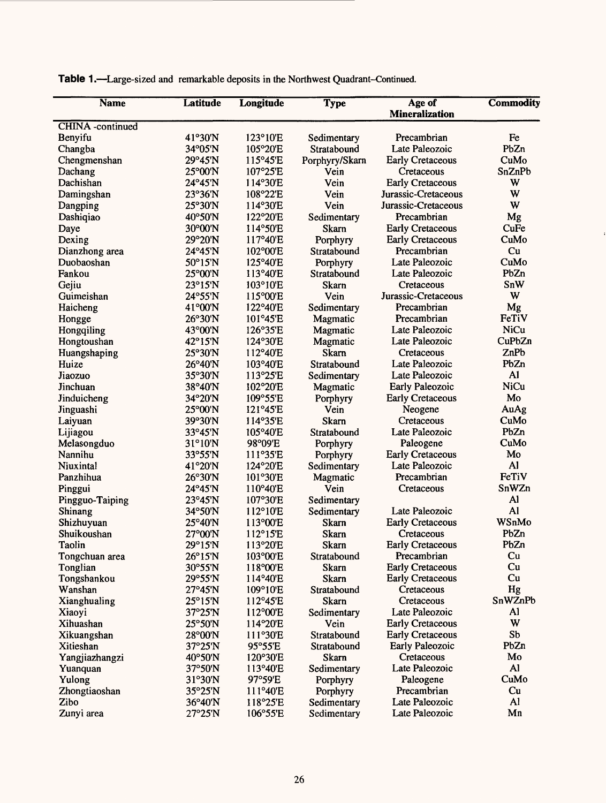| <b>Name</b>             | Latitude                 | Longitude | <b>Type</b>    | Age of                  | <b>Commodity</b> |
|-------------------------|--------------------------|-----------|----------------|-------------------------|------------------|
|                         |                          |           |                | <b>Mineralization</b>   |                  |
| <b>CHINA</b> -continued |                          |           |                |                         |                  |
| Benyifu                 | 41°30'N                  | 123°10'E  | Sedimentary    | Precambrian             | Fe               |
| Changba                 | 34°05'N                  | 105°20'E  | Stratabound    | Late Paleozoic          | PbZn             |
| Chengmenshan            | 29°45'N                  | 115°45'E  | Porphyry/Skarn | <b>Early Cretaceous</b> | CuMo             |
| Dachang                 | 25°00'N                  | 107°25'E  | Vein           | Cretaceous              | SnZnPb           |
| Dachishan               | 24°45'N                  | 114°30'E  | Vein           | <b>Early Cretaceous</b> | W                |
| Damingshan              | 23°36'N                  | 108°22'E  | Vein           | Jurassic-Cretaceous     | W                |
| Dangping                | 25°30'N                  | 114°30'E  | Vein           | Jurassic-Cretaceous     | W                |
| Dashiqiao               | 40°50'N                  | 122°20'E  | Sedimentary    | Precambrian             | Mg               |
| Daye                    | 30°00'N                  | 114°50'E  | <b>Skarn</b>   | <b>Early Cretaceous</b> | CuFe             |
| Dexing                  | 29°20'N                  | 117°40'E  | Porphyry       | <b>Early Cretaceous</b> | CuMo             |
| Dianzhong area          | 24°45'N                  | 102°00'E  | Stratabound    | Precambrian             | Cu               |
| Duobaoshan              | $50^{\circ}15'$ N        | 125°40'E  | Porphyry       | Late Paleozoic          | CuMo             |
| Fankou                  | 25°00'N                  | 113°40'E  | Stratabound    | Late Paleozoic          | PbZn             |
| Gejiu                   | 23°15'N                  | 103°10'E  | <b>Skarn</b>   | Cretaceous              | SnW              |
| Guimeishan              | 24°55'N                  | 115°00'E  | Vein           | Jurassic-Cretaceous     | W                |
| Haicheng                | 41°00'N                  | 122°40'E  | Sedimentary    | Precambrian             | $_{\rm Mg}$      |
| Hongge                  | 26°30'N                  | 101°45'E  | Magmatic       | Precambrian             | FeTiV            |
| Hongqiling              | 43°00'N                  | 126°35'E  | Magmatic       | Late Paleozoic          | NiCu             |
| Hongtoushan             | 42°15'N                  | 124°30'E  | Magmatic       | Late Paleozoic          | CuPbZn           |
| Huangshaping            | 25°30'N                  | 112°40'E  | <b>Skarn</b>   | Cretaceous              | ZnPb             |
| Huize                   | 26°40'N                  | 103°40'E  | Stratabound    | Late Paleozoic          | PbZn             |
| Jiaozuo                 | 35°30'N                  | 113°25'E  | Sedimentary    | Late Paleozoic          | A1               |
| Jinchuan                | 38°40'N                  | 102°20'E  | Magmatic       | Early Paleozoic         | NiCu             |
| Jinduicheng             | 34°20'N                  | 109°55'E  | Porphyry       | <b>Early Cretaceous</b> | Mo               |
| Jinguashi               | 25°00'N                  | 121°45'E  | Vein           | Neogene                 | AuAg             |
| Laiyuan                 | 39°30'N                  | 114°35'E  | <b>Skarn</b>   | Cretaceous              | CuMo             |
| Lijiagou                | 33°45'N                  | 105°40'E  | Stratabound    | Late Paleozoic          | PbZn             |
| Melasongduo             | 31°10'N                  | 98°09'E   | Porphyry       | Paleogene               | CuMo             |
| Nannihu                 | 33°55'N                  | 111°35'E  | Porphyry       | <b>Early Cretaceous</b> | Mo               |
| Niuxintal               | 41°20'N                  | 124°20'E  | Sedimentary    | Late Paleozoic          | Al               |
| Panzhihua               | 26°30'N                  | 101°30'E  | Magmatic       | Precambrian             | FeTiV            |
| Pinggui                 | 24°45'N                  | 110°40'E  | Vein           | Cretaceous              | SnWZn            |
| Pingguo-Taiping         | 23°45'N                  | 107°30'E  | Sedimentary    |                         | Al               |
| Shinang                 | 34°50'N                  | 112°10'E  | Sedimentary    | Late Paleozoic          | Al               |
| Shizhuyuan              | 25°40'N                  | 113°00'E  | Skarn          | <b>Early Cretaceous</b> | WSnMo            |
| Shuikoushan             | 27°00'N                  | 112°15'E  | <b>Skarn</b>   | Cretaceous              | PbZn             |
| Taolin                  | 29°15'N                  | 113°20'E  | <b>Skarn</b>   | <b>Early Cretaceous</b> | PbZn             |
| Tongchuan area          | 26°15'N                  | 103°00'E  | Stratabound    | Precambrian             | Cu               |
| Tonglian                | 30°55'N                  | 118°00'E  | <b>Skarn</b>   | <b>Early Cretaceous</b> | Cu               |
| Tongshankou             | 29°55'N                  | 114°40'E  | <b>Skarn</b>   | <b>Early Cretaceous</b> | Cu               |
| Wanshan                 | 27°45'N                  | 109°10'E  | Stratabound    | Cretaceous              | Hg               |
| Xianghualing            | $25^{\circ}15^{\prime}N$ | 112°45'E  | Skarn          | Cretaceous              | SnWZnPb          |
| Xiaoyi                  | 37°25'N                  | 112°00'E  | Sedimentary    | Late Paleozoic          | Al               |
| Xihuashan               | 25°50'N                  | 114°20'E  | Vein           | <b>Early Cretaceous</b> | W                |
| Xikuangshan             | 28°00'N                  | 111°30'E  | Stratabound    | <b>Early Cretaceous</b> | Sb               |
| Xitieshan               | 37°25'N                  | 95°55'E   | Stratabound    | Early Paleozoic         | PbZn             |
| Yangjiazhangzi          | $40^{\circ}50^{\prime}N$ | 120°30'E  | Skarn          | Cretaceous              | Mo               |
| Yuanquan                | 37°50'N                  | 113°40'E  | Sedimentary    | Late Paleozoic          | Al               |
| Yulong                  | 31°30'N                  | 97°59'E   | Porphyry       | Paleogene               | CuMo             |
| Zhongtiaoshan           | 35°25'N                  | 111°40'E  | Porphyry       | Precambrian             | Cu               |
| Zibo                    | 36°40'N                  | 118°25'E  | Sedimentary    | Late Paleozoic          | Al               |
| Zunyi area              | 27°25'N                  | 106°55'E  | Sedimentary    | Late Paleozoic          | Mn               |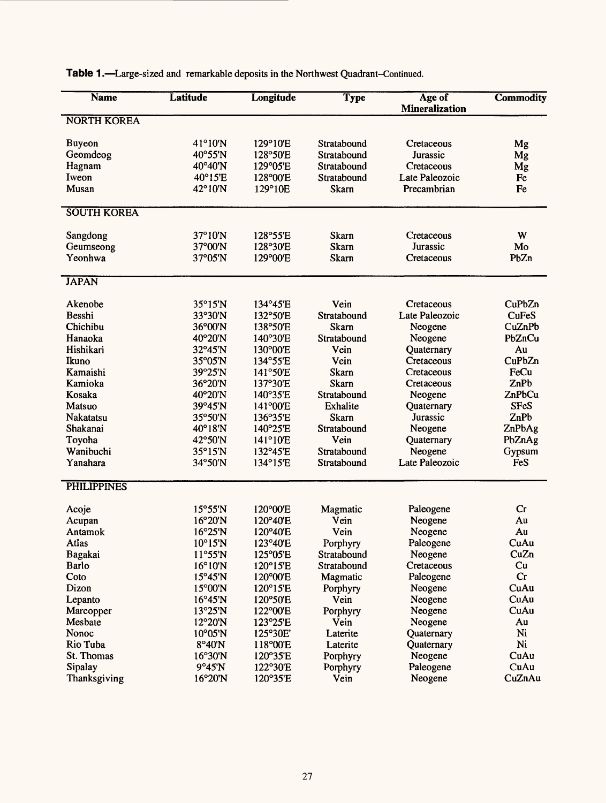| <b>Name</b>        | <b>Latitude</b>          | Longitude         | <b>Type</b>  | Age of<br><b>Mineralization</b> | <b>Commodity</b> |
|--------------------|--------------------------|-------------------|--------------|---------------------------------|------------------|
| <b>NORTH KOREA</b> |                          |                   |              |                                 |                  |
| <b>Buyeon</b>      | 41°10'N                  | 129°10'E          | Stratabound  | Cretaceous                      | Mg               |
| Geomdeog           | 40°55'N                  | 128°50'E          | Stratabound  | Jurassic                        | Mg               |
| Hagnam             | 40°40'N                  | 129°05'E          | Stratabound  | Cretaceous                      | Mg               |
| Iweon              | 40°15'E                  | 128°00'E          | Stratabound  | Late Paleozoic                  | Fe               |
| Musan              | 42°10'N                  | 129°10E           | Skarn        | Precambrian                     | Fe               |
|                    |                          |                   |              |                                 |                  |
| <b>SOUTH KOREA</b> |                          |                   |              |                                 |                  |
| Sangdong           | 37°10'N                  | 128°55'E          | <b>Skarn</b> | Cretaceous                      | W                |
| Geumseong          | 37°00'N                  | 128°30'E          | <b>Skarn</b> | Jurassic                        | Mo               |
| Yeonhwa            | 37°05'N                  | 129°00'E          | <b>Skarn</b> | Cretaceous                      | PbZn             |
| <b>JAPAN</b>       |                          |                   |              |                                 |                  |
| Akenobe            | 35°15'N                  | 134°45'E          | Vein         | Cretaceous                      | CuPbZn           |
| Besshi             | 33°30'N                  | 132°50'E          | Stratabound  | Late Paleozoic                  | CuFeS            |
| Chichibu           | 36°00'N                  | 138°50'E          | <b>Skarn</b> | Neogene                         | CuZnPb           |
| Hanaoka            | 40°20'N                  | 140°30'E          | Stratabound  | Neogene                         | PbZnCu           |
| Hishikari          | 32°45'N                  | 130°00'E          | Vein         | Quaternary                      | Au               |
| Ikuno              | $35^{\circ}05^{\prime}N$ | 134°55'E          | Vein         | Cretaceous                      | <b>CuPbZn</b>    |
| Kamaishi           | 39°25'N                  | 141°50'E          | <b>Skarn</b> | Cretaceous                      | FeCu             |
| Kamioka            | 36°20'N                  | 137°30'E          | Skarn        | Cretaceous                      | ZnPb             |
| Kosaka             | 40°20'N                  | 140°35'E          | Stratabound  | Neogene                         | ZnPbCu           |
| Matsuo             | 39°45'N                  | 141°00'E          | Exhalite     | Quaternary                      | <b>SFeS</b>      |
| Nakatatsu          | 35°50'N                  | 136°35'E          | <b>Skarn</b> | Jurassic                        | ZnPb             |
| Shakanai           | $40^{\circ}18'$ N        | 140°25'E          | Stratabound  | Neogene                         | ZnPbAg           |
| Toyoha             | 42°50'N                  | 141°10'E          | Vein         | Quaternary                      | PbZnAg           |
| Wanibuchi          | 35°15'N                  | 132°45'E          | Stratabound  | Neogene                         | Gypsum           |
| Yanahara           | 34°50'N                  | 134°15'E          | Stratabound  | Late Paleozoic                  | FeS              |
|                    |                          |                   |              |                                 |                  |
| <b>PHILIPPINES</b> |                          |                   |              |                                 |                  |
| Acoje              | $15^{\circ}55^{\prime}N$ | 120°00'E          | Magmatic     | Paleogene                       | Cr               |
| Acupan             | 16°20'N                  | 120°40'E          | Vein         | Neogene                         | Au               |
| Antamok            | 16°25'N                  | 120°40'E          | Vein         | Neogene                         | Au               |
| <b>Atlas</b>       | 10°15'N                  | 123°40'E          | Porphyry     | Paleogene                       | CuAu             |
| Bagakai            | 11°55'N                  | 125°05'E          | Stratabound  | Neogene                         | CuZn             |
| Barlo              | $16^{\circ}10^{\prime}N$ | 120°15'E          | Stratabound  | Cretaceous                      | Cu               |
| Coto               | $15^{\circ}45'$ N        | 120°00'E          | Magmatic     | Paleogene                       | Cr               |
| Dizon              | $15^{\circ}00^{\prime}N$ | $120^{\circ}15'E$ | Porphyry     | Neogene                         | CuAu             |
| Lepanto            | $16^{\circ}45'$ N        | 120°50'E          | Vein         | Neogene                         | CuAu             |
| Marcopper          | 13°25'N                  | 122°00'E          | Porphyry     | Neogene                         | CuAu             |
| Mesbate            | 12°20'N                  | 123°25'E          | Vein         | Neogene                         | Au               |
| Nonoc              | $10^{\circ}05'$ N        | 125°30E'          | Laterite     | Quaternary                      | Ni               |
| Rio Tuba           | 8°40'N                   | 118°00'E          | Laterite     | Quaternary                      | Ni               |
| St. Thomas         | 16°30'N                  | 120°35'E          | Porphyry     | Neogene                         | CuAu             |
| Sipalay            | 9°45'N                   | 122°30'E          | Porphyry     | Paleogene                       | CuAu             |
| Thanksgiving       | $16^{\circ}20'$ N        | 120°35'E          | Vein         | Neogene                         | CuZnAu           |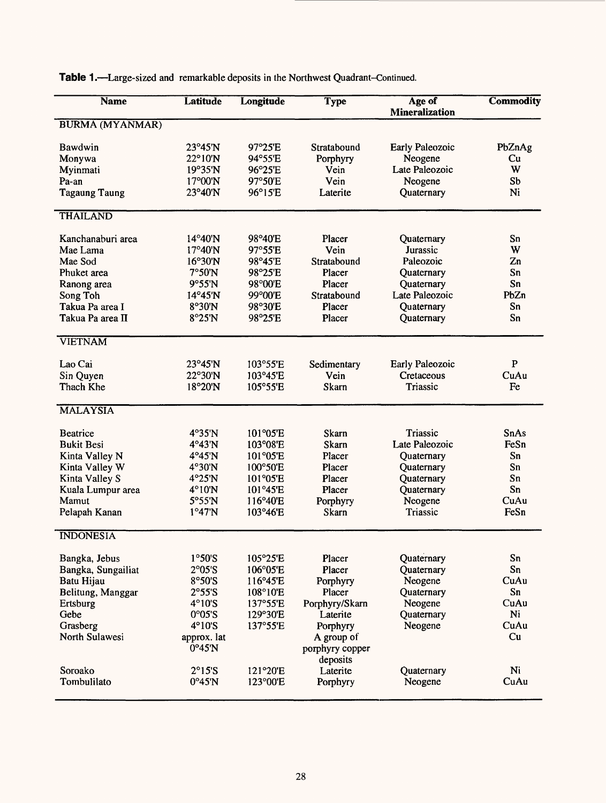| <b>BURMA (MYANMAR)</b><br>23°45'N<br>97°25'E<br>Early Paleozoic<br>Bawdwin<br>Stratabound<br>PbZnAg<br>22°10'N<br>94°55'E<br>Neogene<br>Monywa<br>Porphyry<br>Cu<br>W<br>19°35'N<br>96°25'E<br>Late Paleozoic<br>Myinmati<br>Vein<br>$17^{\circ}00'$ N<br>97°50'E<br>Vein<br>Sb<br>Pa-an<br>Neogene<br>23°40'N<br>96°15'E<br>Ni<br><b>Tagaung Taung</b><br>Laterite<br>Quaternary<br><b>THAILAND</b><br>$14^{\circ}40^{\prime}N$<br>98°40'E<br>Kanchanaburi area<br>Placer<br>Sn<br>Quaternary<br>W<br>97°55'E<br>Vein<br>Jurassic<br>Mae Lama<br>$17^{\circ}40^{\prime}N$<br>16°30'N<br>98°45'E<br>Paleozoic<br>Mae Sod<br>Stratabound<br>Zn<br>7°50'N<br>98°25'E<br>Phuket area<br>Placer<br>Sn | <b>Commodity</b> |
|---------------------------------------------------------------------------------------------------------------------------------------------------------------------------------------------------------------------------------------------------------------------------------------------------------------------------------------------------------------------------------------------------------------------------------------------------------------------------------------------------------------------------------------------------------------------------------------------------------------------------------------------------------------------------------------------------|------------------|
|                                                                                                                                                                                                                                                                                                                                                                                                                                                                                                                                                                                                                                                                                                   |                  |
|                                                                                                                                                                                                                                                                                                                                                                                                                                                                                                                                                                                                                                                                                                   |                  |
|                                                                                                                                                                                                                                                                                                                                                                                                                                                                                                                                                                                                                                                                                                   |                  |
|                                                                                                                                                                                                                                                                                                                                                                                                                                                                                                                                                                                                                                                                                                   |                  |
|                                                                                                                                                                                                                                                                                                                                                                                                                                                                                                                                                                                                                                                                                                   |                  |
|                                                                                                                                                                                                                                                                                                                                                                                                                                                                                                                                                                                                                                                                                                   |                  |
|                                                                                                                                                                                                                                                                                                                                                                                                                                                                                                                                                                                                                                                                                                   |                  |
|                                                                                                                                                                                                                                                                                                                                                                                                                                                                                                                                                                                                                                                                                                   |                  |
|                                                                                                                                                                                                                                                                                                                                                                                                                                                                                                                                                                                                                                                                                                   |                  |
|                                                                                                                                                                                                                                                                                                                                                                                                                                                                                                                                                                                                                                                                                                   |                  |
| Quaternary                                                                                                                                                                                                                                                                                                                                                                                                                                                                                                                                                                                                                                                                                        |                  |
| 9°55'N<br>Sn<br>98°00'E<br>Placer<br>Quaternary<br>Ranong area                                                                                                                                                                                                                                                                                                                                                                                                                                                                                                                                                                                                                                    |                  |
| Late Paleozoic<br>PbZn<br>$14^{\circ}45'$ N<br>99°00'E<br>Stratabound<br>Song Toh                                                                                                                                                                                                                                                                                                                                                                                                                                                                                                                                                                                                                 |                  |
| 8°30'N<br>98°30'E<br>Takua Pa area I<br>Placer<br>Sn<br>Quaternary                                                                                                                                                                                                                                                                                                                                                                                                                                                                                                                                                                                                                                |                  |
| Takua Pa area II<br>98°25'E<br>Sn<br>8°25'N<br>Placer<br>Quaternary                                                                                                                                                                                                                                                                                                                                                                                                                                                                                                                                                                                                                               |                  |
| <b>VIETNAM</b>                                                                                                                                                                                                                                                                                                                                                                                                                                                                                                                                                                                                                                                                                    |                  |
| ${\bf P}$<br>Lao Cai<br>23°45'N<br>Early Paleozoic<br>103°55'E<br>Sedimentary                                                                                                                                                                                                                                                                                                                                                                                                                                                                                                                                                                                                                     |                  |
| 22°30'N<br>103°45'E<br>Vein<br>CuAu<br>Sin Quyen<br>Cretaceous                                                                                                                                                                                                                                                                                                                                                                                                                                                                                                                                                                                                                                    |                  |
| Thach Khe<br>18°20'N<br>105°55'E<br><b>Skarn</b><br>Triassic<br>Fe                                                                                                                                                                                                                                                                                                                                                                                                                                                                                                                                                                                                                                |                  |
| <b>MALAYSIA</b>                                                                                                                                                                                                                                                                                                                                                                                                                                                                                                                                                                                                                                                                                   |                  |
| 101°05'E<br>Skarn<br>Triassic<br><b>SnAs</b><br><b>Beatrice</b><br>4°35'N                                                                                                                                                                                                                                                                                                                                                                                                                                                                                                                                                                                                                         |                  |
| 103°08'E<br>Skarn<br>Late Paleozoic<br>FeSn<br><b>Bukit Besi</b><br>$4^{\circ}43'$ N                                                                                                                                                                                                                                                                                                                                                                                                                                                                                                                                                                                                              |                  |
| Sn<br>4°45'N<br>101°05'E<br>Placer<br>Kinta Valley N<br>Quaternary                                                                                                                                                                                                                                                                                                                                                                                                                                                                                                                                                                                                                                |                  |
| 100°50'E<br>Sn<br>Kinta Valley W<br>$4°30'$ N<br>Placer<br>Quaternary                                                                                                                                                                                                                                                                                                                                                                                                                                                                                                                                                                                                                             |                  |
| Kinta Valley S<br>4°25'N<br>101°05'E<br>Placer<br>Sn<br>Quaternary                                                                                                                                                                                                                                                                                                                                                                                                                                                                                                                                                                                                                                |                  |
| $4°10'$ N<br>101°45'E<br>Sn<br>Placer<br>Kuala Lumpur area<br>Quaternary                                                                                                                                                                                                                                                                                                                                                                                                                                                                                                                                                                                                                          |                  |
| 5°55'N<br>Mamut<br>116°40'E<br>Neogene<br>CuAu<br>Porphyry                                                                                                                                                                                                                                                                                                                                                                                                                                                                                                                                                                                                                                        |                  |
| 103°46'E<br>Triassic<br>FeSn<br>Pelapah Kanan<br>$1^{\circ}47'$ N<br>Skarn                                                                                                                                                                                                                                                                                                                                                                                                                                                                                                                                                                                                                        |                  |
| <b>INDONESIA</b>                                                                                                                                                                                                                                                                                                                                                                                                                                                                                                                                                                                                                                                                                  |                  |
| 1°50'S<br>105°25'E<br>Bangka, Jebus<br>Sn<br>Placer<br>Quaternary                                                                                                                                                                                                                                                                                                                                                                                                                                                                                                                                                                                                                                 |                  |
| 2°05'S<br>106°05'E<br>Sn<br>Placer<br>Bangka, Sungailiat<br>Quaternary                                                                                                                                                                                                                                                                                                                                                                                                                                                                                                                                                                                                                            |                  |
| 8°50'S<br>Neogene<br>CuAu<br>Batu Hijau<br>$116^{\circ}45'E$<br>Porphyry                                                                                                                                                                                                                                                                                                                                                                                                                                                                                                                                                                                                                          |                  |
| Sn<br>Belitung, Manggar<br>2°55'S<br>108°10'E<br>Placer<br>Quaternary                                                                                                                                                                                                                                                                                                                                                                                                                                                                                                                                                                                                                             |                  |
| 4°10'S<br>137°55'E<br>Neogene<br>CuAu<br>Ertsburg<br>Porphyry/Skarn                                                                                                                                                                                                                                                                                                                                                                                                                                                                                                                                                                                                                               |                  |
| Ni<br>Gebe<br>0°05'S<br>129°30'E<br>Laterite<br>Quaternary                                                                                                                                                                                                                                                                                                                                                                                                                                                                                                                                                                                                                                        |                  |
| 4°10'S<br>137°55'E<br>Neogene<br>CuAu<br>Grasberg<br>Porphyry                                                                                                                                                                                                                                                                                                                                                                                                                                                                                                                                                                                                                                     |                  |
| Cu<br>North Sulawesi<br>A group of<br>approx. lat<br>0°45'N<br>porphyry copper                                                                                                                                                                                                                                                                                                                                                                                                                                                                                                                                                                                                                    |                  |
| deposits<br>Ni<br>Soroako<br>2°15'S<br>121°20'E<br>Laterite                                                                                                                                                                                                                                                                                                                                                                                                                                                                                                                                                                                                                                       |                  |
| Quaternary<br>Tombulilato<br>0°45'N<br>123°00'E<br>CuAu<br>Porphyry<br>Neogene                                                                                                                                                                                                                                                                                                                                                                                                                                                                                                                                                                                                                    |                  |